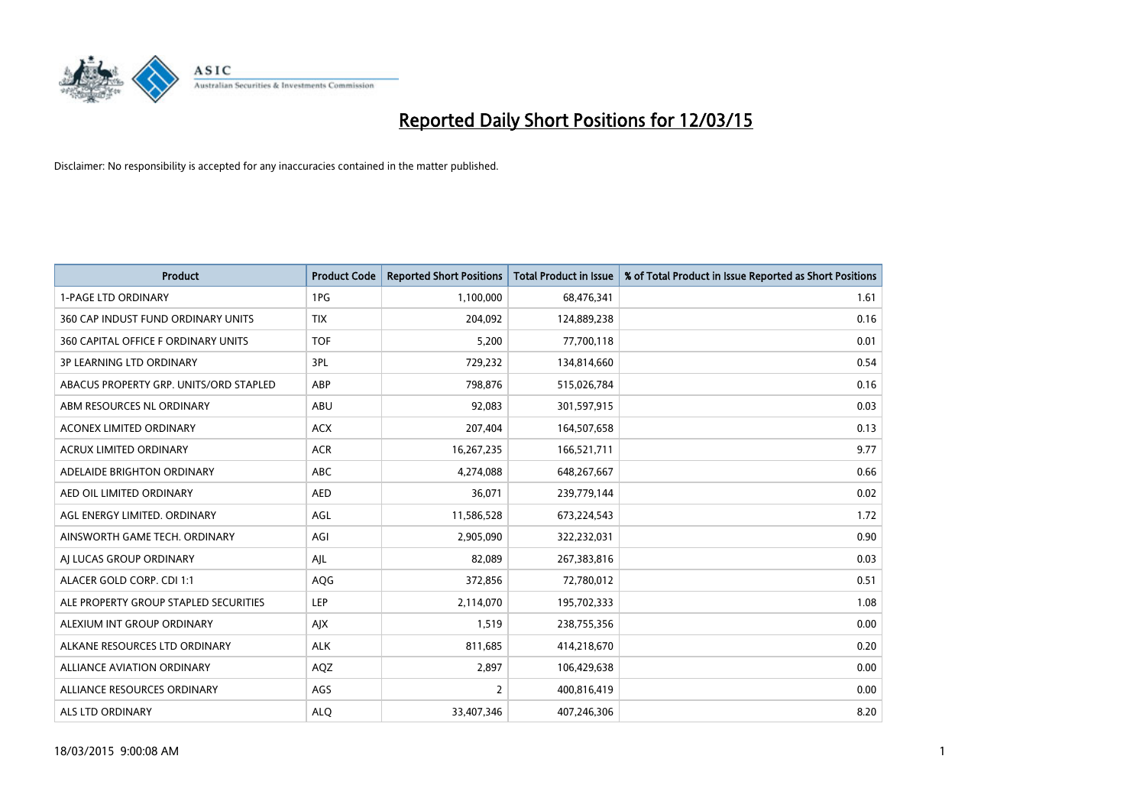

| <b>Product</b>                         | <b>Product Code</b> | <b>Reported Short Positions</b> | <b>Total Product in Issue</b> | % of Total Product in Issue Reported as Short Positions |
|----------------------------------------|---------------------|---------------------------------|-------------------------------|---------------------------------------------------------|
| <b>1-PAGE LTD ORDINARY</b>             | 1PG                 | 1,100,000                       | 68,476,341                    | 1.61                                                    |
| 360 CAP INDUST FUND ORDINARY UNITS     | <b>TIX</b>          | 204,092                         | 124,889,238                   | 0.16                                                    |
| 360 CAPITAL OFFICE F ORDINARY UNITS    | <b>TOF</b>          | 5,200                           | 77,700,118                    | 0.01                                                    |
| <b>3P LEARNING LTD ORDINARY</b>        | 3PL                 | 729,232                         | 134,814,660                   | 0.54                                                    |
| ABACUS PROPERTY GRP. UNITS/ORD STAPLED | ABP                 | 798,876                         | 515,026,784                   | 0.16                                                    |
| ABM RESOURCES NL ORDINARY              | ABU                 | 92,083                          | 301,597,915                   | 0.03                                                    |
| <b>ACONEX LIMITED ORDINARY</b>         | <b>ACX</b>          | 207,404                         | 164,507,658                   | 0.13                                                    |
| ACRUX LIMITED ORDINARY                 | <b>ACR</b>          | 16,267,235                      | 166,521,711                   | 9.77                                                    |
| ADELAIDE BRIGHTON ORDINARY             | <b>ABC</b>          | 4,274,088                       | 648,267,667                   | 0.66                                                    |
| AED OIL LIMITED ORDINARY               | <b>AED</b>          | 36,071                          | 239,779,144                   | 0.02                                                    |
| AGL ENERGY LIMITED. ORDINARY           | AGL                 | 11,586,528                      | 673,224,543                   | 1.72                                                    |
| AINSWORTH GAME TECH. ORDINARY          | AGI                 | 2,905,090                       | 322,232,031                   | 0.90                                                    |
| AI LUCAS GROUP ORDINARY                | AJL                 | 82,089                          | 267,383,816                   | 0.03                                                    |
| ALACER GOLD CORP. CDI 1:1              | <b>AQG</b>          | 372,856                         | 72,780,012                    | 0.51                                                    |
| ALE PROPERTY GROUP STAPLED SECURITIES  | <b>LEP</b>          | 2,114,070                       | 195,702,333                   | 1.08                                                    |
| ALEXIUM INT GROUP ORDINARY             | AJX                 | 1,519                           | 238,755,356                   | 0.00                                                    |
| ALKANE RESOURCES LTD ORDINARY          | <b>ALK</b>          | 811,685                         | 414,218,670                   | 0.20                                                    |
| ALLIANCE AVIATION ORDINARY             | AQZ                 | 2,897                           | 106,429,638                   | 0.00                                                    |
| ALLIANCE RESOURCES ORDINARY            | AGS                 | 2                               | 400,816,419                   | 0.00                                                    |
| <b>ALS LTD ORDINARY</b>                | <b>ALO</b>          | 33,407,346                      | 407,246,306                   | 8.20                                                    |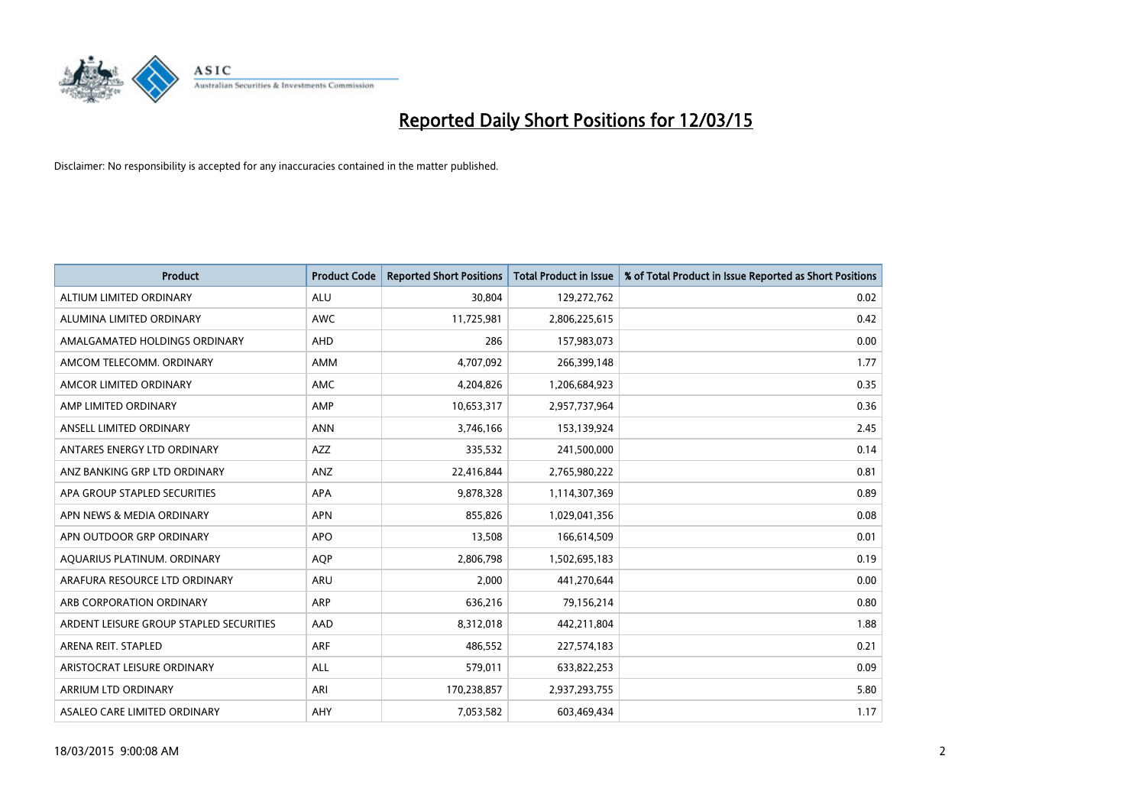

| <b>Product</b>                          | <b>Product Code</b> | <b>Reported Short Positions</b> | <b>Total Product in Issue</b> | % of Total Product in Issue Reported as Short Positions |
|-----------------------------------------|---------------------|---------------------------------|-------------------------------|---------------------------------------------------------|
| ALTIUM LIMITED ORDINARY                 | <b>ALU</b>          | 30,804                          | 129,272,762                   | 0.02                                                    |
| ALUMINA LIMITED ORDINARY                | AWC                 | 11,725,981                      | 2,806,225,615                 | 0.42                                                    |
| AMALGAMATED HOLDINGS ORDINARY           | AHD                 | 286                             | 157,983,073                   | 0.00                                                    |
| AMCOM TELECOMM. ORDINARY                | AMM                 | 4,707,092                       | 266,399,148                   | 1.77                                                    |
| AMCOR LIMITED ORDINARY                  | AMC                 | 4,204,826                       | 1,206,684,923                 | 0.35                                                    |
| AMP LIMITED ORDINARY                    | AMP                 | 10,653,317                      | 2,957,737,964                 | 0.36                                                    |
| ANSELL LIMITED ORDINARY                 | <b>ANN</b>          | 3,746,166                       | 153,139,924                   | 2.45                                                    |
| ANTARES ENERGY LTD ORDINARY             | AZZ                 | 335,532                         | 241,500,000                   | 0.14                                                    |
| ANZ BANKING GRP LTD ORDINARY            | ANZ                 | 22,416,844                      | 2,765,980,222                 | 0.81                                                    |
| APA GROUP STAPLED SECURITIES            | <b>APA</b>          | 9,878,328                       | 1,114,307,369                 | 0.89                                                    |
| APN NEWS & MEDIA ORDINARY               | <b>APN</b>          | 855,826                         | 1,029,041,356                 | 0.08                                                    |
| APN OUTDOOR GRP ORDINARY                | <b>APO</b>          | 13,508                          | 166,614,509                   | 0.01                                                    |
| AQUARIUS PLATINUM. ORDINARY             | <b>AOP</b>          | 2,806,798                       | 1,502,695,183                 | 0.19                                                    |
| ARAFURA RESOURCE LTD ORDINARY           | ARU                 | 2,000                           | 441,270,644                   | 0.00                                                    |
| ARB CORPORATION ORDINARY                | <b>ARP</b>          | 636,216                         | 79,156,214                    | 0.80                                                    |
| ARDENT LEISURE GROUP STAPLED SECURITIES | AAD                 | 8,312,018                       | 442,211,804                   | 1.88                                                    |
| ARENA REIT. STAPLED                     | <b>ARF</b>          | 486,552                         | 227,574,183                   | 0.21                                                    |
| ARISTOCRAT LEISURE ORDINARY             | <b>ALL</b>          | 579,011                         | 633,822,253                   | 0.09                                                    |
| ARRIUM LTD ORDINARY                     | ARI                 | 170,238,857                     | 2,937,293,755                 | 5.80                                                    |
| ASALEO CARE LIMITED ORDINARY            | AHY                 | 7,053,582                       | 603,469,434                   | 1.17                                                    |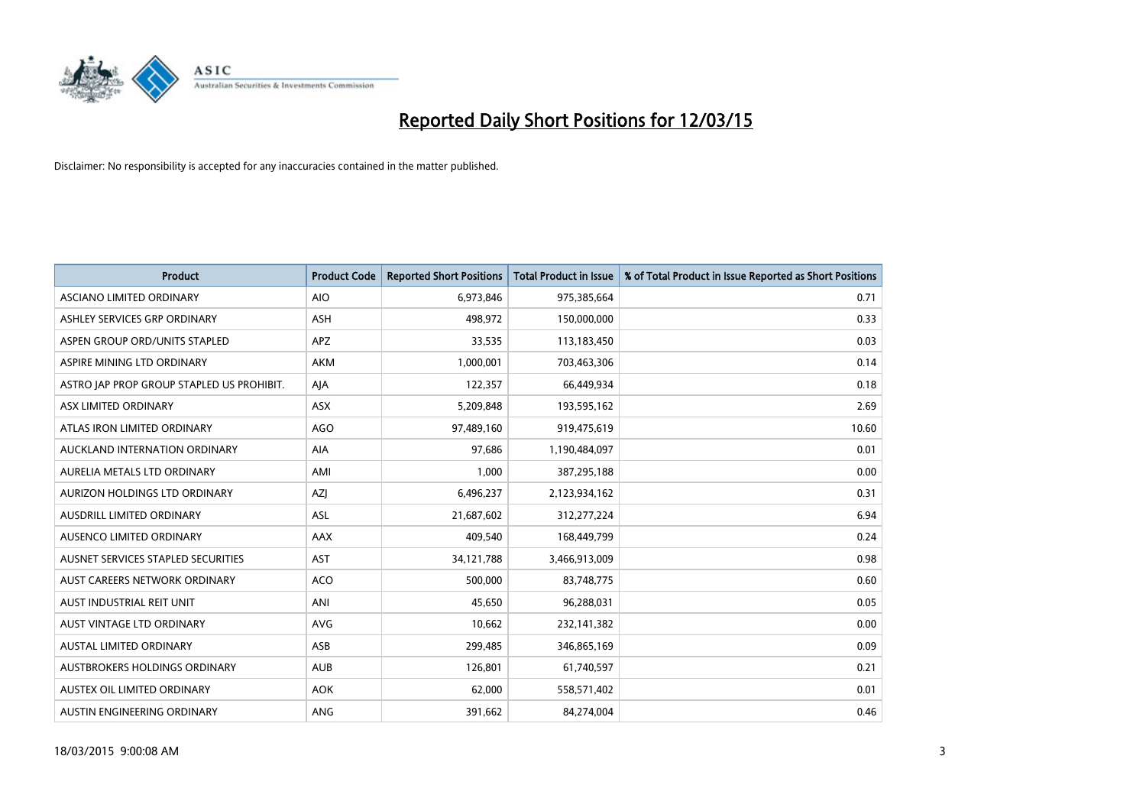

| <b>Product</b>                            | <b>Product Code</b> | <b>Reported Short Positions</b> | <b>Total Product in Issue</b> | % of Total Product in Issue Reported as Short Positions |
|-------------------------------------------|---------------------|---------------------------------|-------------------------------|---------------------------------------------------------|
| ASCIANO LIMITED ORDINARY                  | <b>AIO</b>          | 6,973,846                       | 975,385,664                   | 0.71                                                    |
| ASHLEY SERVICES GRP ORDINARY              | <b>ASH</b>          | 498,972                         | 150,000,000                   | 0.33                                                    |
| ASPEN GROUP ORD/UNITS STAPLED             | <b>APZ</b>          | 33,535                          | 113,183,450                   | 0.03                                                    |
| ASPIRE MINING LTD ORDINARY                | <b>AKM</b>          | 1,000,001                       | 703,463,306                   | 0.14                                                    |
| ASTRO JAP PROP GROUP STAPLED US PROHIBIT. | AJA                 | 122,357                         | 66,449,934                    | 0.18                                                    |
| ASX LIMITED ORDINARY                      | ASX                 | 5,209,848                       | 193,595,162                   | 2.69                                                    |
| ATLAS IRON LIMITED ORDINARY               | <b>AGO</b>          | 97,489,160                      | 919,475,619                   | 10.60                                                   |
| AUCKLAND INTERNATION ORDINARY             | <b>AIA</b>          | 97,686                          | 1,190,484,097                 | 0.01                                                    |
| AURELIA METALS LTD ORDINARY               | AMI                 | 1,000                           | 387,295,188                   | 0.00                                                    |
| AURIZON HOLDINGS LTD ORDINARY             | AZJ                 | 6,496,237                       | 2,123,934,162                 | 0.31                                                    |
| AUSDRILL LIMITED ORDINARY                 | ASL                 | 21,687,602                      | 312,277,224                   | 6.94                                                    |
| AUSENCO LIMITED ORDINARY                  | AAX                 | 409,540                         | 168,449,799                   | 0.24                                                    |
| AUSNET SERVICES STAPLED SECURITIES        | AST                 | 34,121,788                      | 3,466,913,009                 | 0.98                                                    |
| AUST CAREERS NETWORK ORDINARY             | <b>ACO</b>          | 500,000                         | 83,748,775                    | 0.60                                                    |
| AUST INDUSTRIAL REIT UNIT                 | ANI                 | 45,650                          | 96,288,031                    | 0.05                                                    |
| AUST VINTAGE LTD ORDINARY                 | AVG                 | 10,662                          | 232,141,382                   | 0.00                                                    |
| AUSTAL LIMITED ORDINARY                   | ASB                 | 299,485                         | 346,865,169                   | 0.09                                                    |
| AUSTBROKERS HOLDINGS ORDINARY             | <b>AUB</b>          | 126,801                         | 61,740,597                    | 0.21                                                    |
| AUSTEX OIL LIMITED ORDINARY               | <b>AOK</b>          | 62,000                          | 558,571,402                   | 0.01                                                    |
| AUSTIN ENGINEERING ORDINARY               | ANG                 | 391,662                         | 84,274,004                    | 0.46                                                    |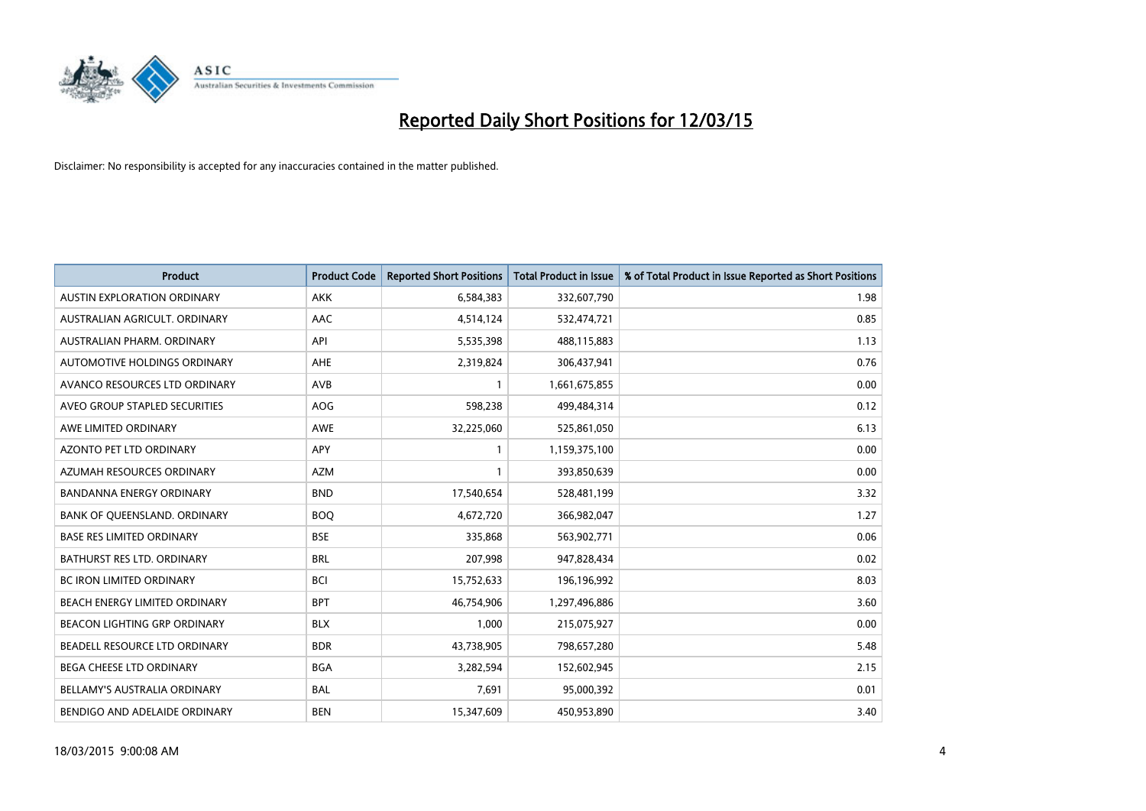

| <b>Product</b>                      | <b>Product Code</b> | <b>Reported Short Positions</b> | <b>Total Product in Issue</b> | % of Total Product in Issue Reported as Short Positions |
|-------------------------------------|---------------------|---------------------------------|-------------------------------|---------------------------------------------------------|
| <b>AUSTIN EXPLORATION ORDINARY</b>  | <b>AKK</b>          | 6,584,383                       | 332,607,790                   | 1.98                                                    |
| AUSTRALIAN AGRICULT, ORDINARY       | AAC                 | 4,514,124                       | 532,474,721                   | 0.85                                                    |
| AUSTRALIAN PHARM. ORDINARY          | API                 | 5,535,398                       | 488,115,883                   | 1.13                                                    |
| AUTOMOTIVE HOLDINGS ORDINARY        | AHE                 | 2,319,824                       | 306,437,941                   | 0.76                                                    |
| AVANCO RESOURCES LTD ORDINARY       | AVB                 | $\mathbf{1}$                    | 1,661,675,855                 | 0.00                                                    |
| AVEO GROUP STAPLED SECURITIES       | AOG                 | 598,238                         | 499,484,314                   | 0.12                                                    |
| AWE LIMITED ORDINARY                | AWE                 | 32,225,060                      | 525,861,050                   | 6.13                                                    |
| AZONTO PET LTD ORDINARY             | APY                 | $\mathbf{1}$                    | 1,159,375,100                 | 0.00                                                    |
| AZUMAH RESOURCES ORDINARY           | <b>AZM</b>          | $\mathbf{1}$                    | 393,850,639                   | 0.00                                                    |
| <b>BANDANNA ENERGY ORDINARY</b>     | <b>BND</b>          | 17,540,654                      | 528,481,199                   | 3.32                                                    |
| BANK OF QUEENSLAND. ORDINARY        | <b>BOQ</b>          | 4,672,720                       | 366,982,047                   | 1.27                                                    |
| <b>BASE RES LIMITED ORDINARY</b>    | <b>BSE</b>          | 335,868                         | 563,902,771                   | 0.06                                                    |
| BATHURST RES LTD. ORDINARY          | <b>BRL</b>          | 207,998                         | 947,828,434                   | 0.02                                                    |
| <b>BC IRON LIMITED ORDINARY</b>     | <b>BCI</b>          | 15,752,633                      | 196,196,992                   | 8.03                                                    |
| BEACH ENERGY LIMITED ORDINARY       | <b>BPT</b>          | 46,754,906                      | 1,297,496,886                 | 3.60                                                    |
| <b>BEACON LIGHTING GRP ORDINARY</b> | <b>BLX</b>          | 1,000                           | 215,075,927                   | 0.00                                                    |
| BEADELL RESOURCE LTD ORDINARY       | <b>BDR</b>          | 43,738,905                      | 798,657,280                   | 5.48                                                    |
| BEGA CHEESE LTD ORDINARY            | <b>BGA</b>          | 3,282,594                       | 152,602,945                   | 2.15                                                    |
| BELLAMY'S AUSTRALIA ORDINARY        | <b>BAL</b>          | 7,691                           | 95,000,392                    | 0.01                                                    |
| BENDIGO AND ADELAIDE ORDINARY       | <b>BEN</b>          | 15,347,609                      | 450,953,890                   | 3.40                                                    |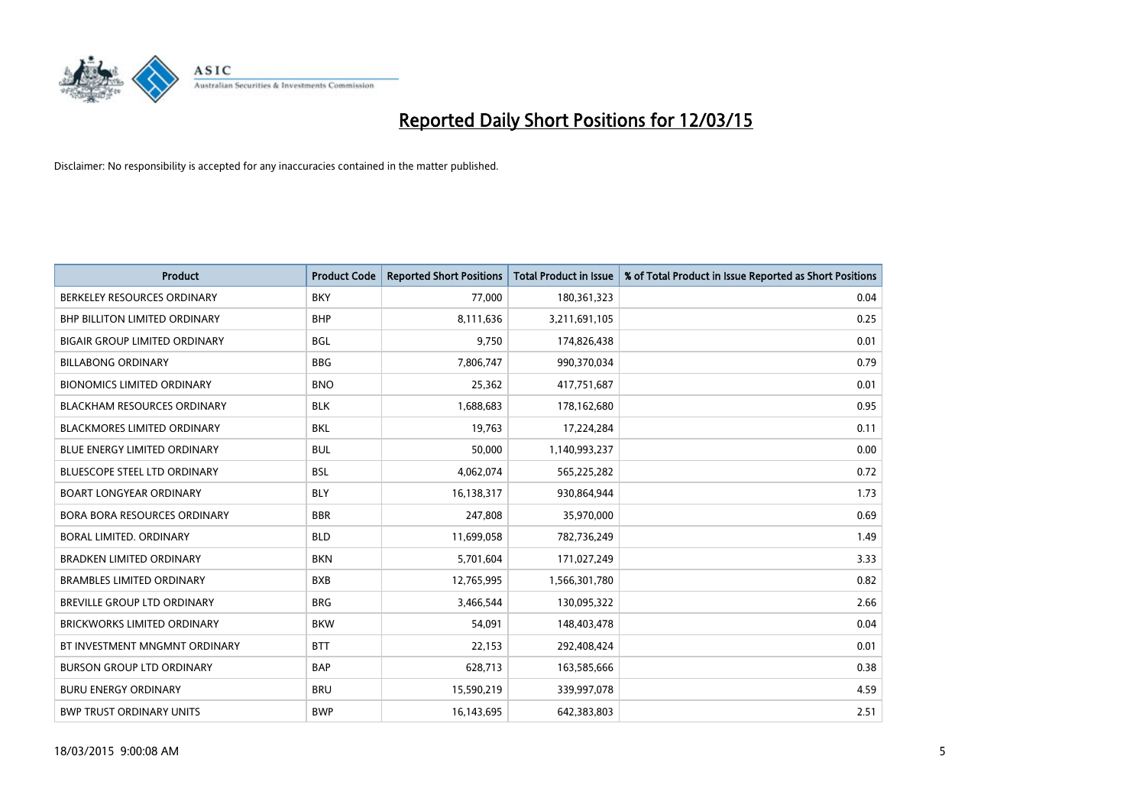

| <b>Product</b>                       | <b>Product Code</b> | <b>Reported Short Positions</b> | <b>Total Product in Issue</b> | % of Total Product in Issue Reported as Short Positions |
|--------------------------------------|---------------------|---------------------------------|-------------------------------|---------------------------------------------------------|
| BERKELEY RESOURCES ORDINARY          | <b>BKY</b>          | 77,000                          | 180,361,323                   | 0.04                                                    |
| BHP BILLITON LIMITED ORDINARY        | <b>BHP</b>          | 8,111,636                       | 3,211,691,105                 | 0.25                                                    |
| <b>BIGAIR GROUP LIMITED ORDINARY</b> | <b>BGL</b>          | 9,750                           | 174,826,438                   | 0.01                                                    |
| <b>BILLABONG ORDINARY</b>            | <b>BBG</b>          | 7,806,747                       | 990,370,034                   | 0.79                                                    |
| <b>BIONOMICS LIMITED ORDINARY</b>    | <b>BNO</b>          | 25,362                          | 417,751,687                   | 0.01                                                    |
| <b>BLACKHAM RESOURCES ORDINARY</b>   | <b>BLK</b>          | 1,688,683                       | 178,162,680                   | 0.95                                                    |
| <b>BLACKMORES LIMITED ORDINARY</b>   | <b>BKL</b>          | 19,763                          | 17,224,284                    | 0.11                                                    |
| BLUE ENERGY LIMITED ORDINARY         | <b>BUL</b>          | 50,000                          | 1,140,993,237                 | 0.00                                                    |
| <b>BLUESCOPE STEEL LTD ORDINARY</b>  | <b>BSL</b>          | 4,062,074                       | 565,225,282                   | 0.72                                                    |
| <b>BOART LONGYEAR ORDINARY</b>       | <b>BLY</b>          | 16,138,317                      | 930,864,944                   | 1.73                                                    |
| BORA BORA RESOURCES ORDINARY         | <b>BBR</b>          | 247,808                         | 35,970,000                    | 0.69                                                    |
| BORAL LIMITED, ORDINARY              | <b>BLD</b>          | 11,699,058                      | 782,736,249                   | 1.49                                                    |
| <b>BRADKEN LIMITED ORDINARY</b>      | <b>BKN</b>          | 5,701,604                       | 171,027,249                   | 3.33                                                    |
| <b>BRAMBLES LIMITED ORDINARY</b>     | <b>BXB</b>          | 12,765,995                      | 1,566,301,780                 | 0.82                                                    |
| <b>BREVILLE GROUP LTD ORDINARY</b>   | <b>BRG</b>          | 3,466,544                       | 130,095,322                   | 2.66                                                    |
| <b>BRICKWORKS LIMITED ORDINARY</b>   | <b>BKW</b>          | 54,091                          | 148,403,478                   | 0.04                                                    |
| BT INVESTMENT MNGMNT ORDINARY        | <b>BTT</b>          | 22,153                          | 292,408,424                   | 0.01                                                    |
| <b>BURSON GROUP LTD ORDINARY</b>     | <b>BAP</b>          | 628,713                         | 163,585,666                   | 0.38                                                    |
| <b>BURU ENERGY ORDINARY</b>          | <b>BRU</b>          | 15,590,219                      | 339,997,078                   | 4.59                                                    |
| <b>BWP TRUST ORDINARY UNITS</b>      | <b>BWP</b>          | 16,143,695                      | 642,383,803                   | 2.51                                                    |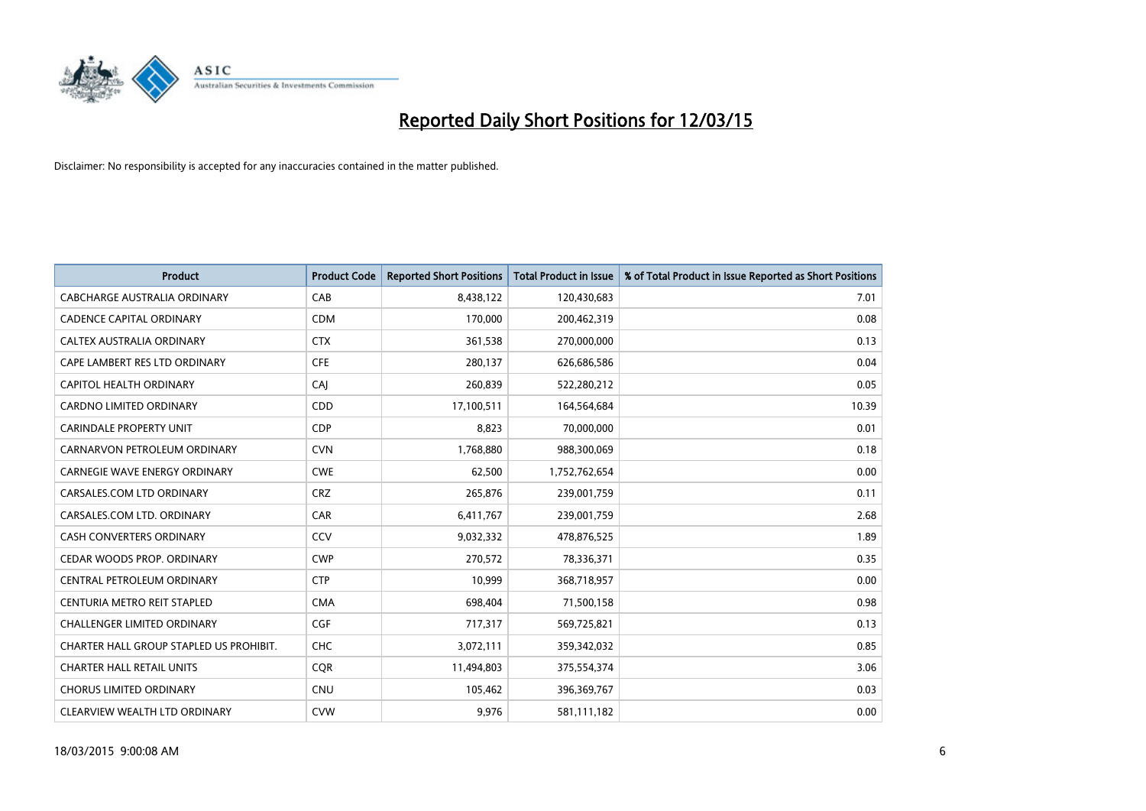

| <b>Product</b>                          | <b>Product Code</b> | <b>Reported Short Positions</b> | <b>Total Product in Issue</b> | % of Total Product in Issue Reported as Short Positions |
|-----------------------------------------|---------------------|---------------------------------|-------------------------------|---------------------------------------------------------|
| <b>CABCHARGE AUSTRALIA ORDINARY</b>     | CAB                 | 8,438,122                       | 120,430,683                   | 7.01                                                    |
| <b>CADENCE CAPITAL ORDINARY</b>         | <b>CDM</b>          | 170,000                         | 200,462,319                   | 0.08                                                    |
| <b>CALTEX AUSTRALIA ORDINARY</b>        | <b>CTX</b>          | 361,538                         | 270,000,000                   | 0.13                                                    |
| CAPE LAMBERT RES LTD ORDINARY           | <b>CFE</b>          | 280,137                         | 626,686,586                   | 0.04                                                    |
| <b>CAPITOL HEALTH ORDINARY</b>          | CAI                 | 260,839                         | 522,280,212                   | 0.05                                                    |
| <b>CARDNO LIMITED ORDINARY</b>          | CDD                 | 17,100,511                      | 164,564,684                   | 10.39                                                   |
| CARINDALE PROPERTY UNIT                 | <b>CDP</b>          | 8,823                           | 70,000,000                    | 0.01                                                    |
| CARNARVON PETROLEUM ORDINARY            | <b>CVN</b>          | 1,768,880                       | 988,300,069                   | 0.18                                                    |
| <b>CARNEGIE WAVE ENERGY ORDINARY</b>    | <b>CWE</b>          | 62,500                          | 1,752,762,654                 | 0.00                                                    |
| CARSALES.COM LTD ORDINARY               | <b>CRZ</b>          | 265,876                         | 239,001,759                   | 0.11                                                    |
| CARSALES.COM LTD. ORDINARY              | <b>CAR</b>          | 6,411,767                       | 239,001,759                   | 2.68                                                    |
| <b>CASH CONVERTERS ORDINARY</b>         | CCV                 | 9,032,332                       | 478,876,525                   | 1.89                                                    |
| CEDAR WOODS PROP. ORDINARY              | <b>CWP</b>          | 270,572                         | 78,336,371                    | 0.35                                                    |
| CENTRAL PETROLEUM ORDINARY              | <b>CTP</b>          | 10,999                          | 368,718,957                   | 0.00                                                    |
| CENTURIA METRO REIT STAPLED             | <b>CMA</b>          | 698,404                         | 71,500,158                    | 0.98                                                    |
| CHALLENGER LIMITED ORDINARY             | <b>CGF</b>          | 717,317                         | 569,725,821                   | 0.13                                                    |
| CHARTER HALL GROUP STAPLED US PROHIBIT. | <b>CHC</b>          | 3,072,111                       | 359,342,032                   | 0.85                                                    |
| <b>CHARTER HALL RETAIL UNITS</b>        | <b>CQR</b>          | 11,494,803                      | 375,554,374                   | 3.06                                                    |
| <b>CHORUS LIMITED ORDINARY</b>          | <b>CNU</b>          | 105,462                         | 396,369,767                   | 0.03                                                    |
| CLEARVIEW WEALTH LTD ORDINARY           | <b>CVW</b>          | 9,976                           | 581,111,182                   | 0.00                                                    |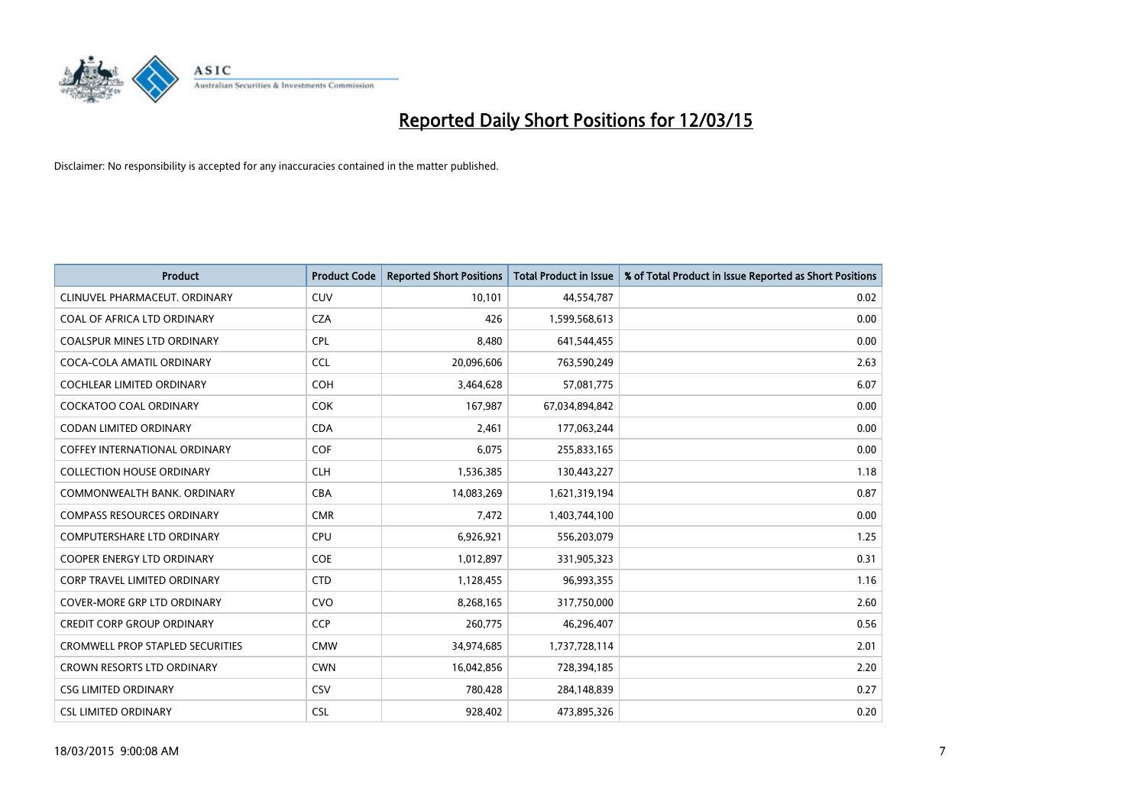

| <b>Product</b>                       | <b>Product Code</b> | <b>Reported Short Positions</b> | <b>Total Product in Issue</b> | % of Total Product in Issue Reported as Short Positions |
|--------------------------------------|---------------------|---------------------------------|-------------------------------|---------------------------------------------------------|
| CLINUVEL PHARMACEUT, ORDINARY        | CUV                 | 10,101                          | 44,554,787                    | 0.02                                                    |
| COAL OF AFRICA LTD ORDINARY          | <b>CZA</b>          | 426                             | 1,599,568,613                 | 0.00                                                    |
| <b>COALSPUR MINES LTD ORDINARY</b>   | <b>CPL</b>          | 8,480                           | 641,544,455                   | 0.00                                                    |
| COCA-COLA AMATIL ORDINARY            | <b>CCL</b>          | 20,096,606                      | 763,590,249                   | 2.63                                                    |
| <b>COCHLEAR LIMITED ORDINARY</b>     | <b>COH</b>          | 3,464,628                       | 57,081,775                    | 6.07                                                    |
| <b>COCKATOO COAL ORDINARY</b>        | <b>COK</b>          | 167,987                         | 67,034,894,842                | 0.00                                                    |
| <b>CODAN LIMITED ORDINARY</b>        | <b>CDA</b>          | 2,461                           | 177,063,244                   | 0.00                                                    |
| <b>COFFEY INTERNATIONAL ORDINARY</b> | <b>COF</b>          | 6,075                           | 255,833,165                   | 0.00                                                    |
| <b>COLLECTION HOUSE ORDINARY</b>     | <b>CLH</b>          | 1,536,385                       | 130,443,227                   | 1.18                                                    |
| COMMONWEALTH BANK, ORDINARY          | <b>CBA</b>          | 14,083,269                      | 1,621,319,194                 | 0.87                                                    |
| <b>COMPASS RESOURCES ORDINARY</b>    | <b>CMR</b>          | 7,472                           | 1,403,744,100                 | 0.00                                                    |
| <b>COMPUTERSHARE LTD ORDINARY</b>    | <b>CPU</b>          | 6,926,921                       | 556,203,079                   | 1.25                                                    |
| <b>COOPER ENERGY LTD ORDINARY</b>    | <b>COE</b>          | 1,012,897                       | 331,905,323                   | 0.31                                                    |
| <b>CORP TRAVEL LIMITED ORDINARY</b>  | <b>CTD</b>          | 1,128,455                       | 96,993,355                    | 1.16                                                    |
| <b>COVER-MORE GRP LTD ORDINARY</b>   | <b>CVO</b>          | 8,268,165                       | 317,750,000                   | 2.60                                                    |
| <b>CREDIT CORP GROUP ORDINARY</b>    | <b>CCP</b>          | 260,775                         | 46,296,407                    | 0.56                                                    |
| CROMWELL PROP STAPLED SECURITIES     | <b>CMW</b>          | 34,974,685                      | 1,737,728,114                 | 2.01                                                    |
| <b>CROWN RESORTS LTD ORDINARY</b>    | <b>CWN</b>          | 16,042,856                      | 728,394,185                   | 2.20                                                    |
| <b>CSG LIMITED ORDINARY</b>          | CSV                 | 780,428                         | 284,148,839                   | 0.27                                                    |
| <b>CSL LIMITED ORDINARY</b>          | <b>CSL</b>          | 928,402                         | 473,895,326                   | 0.20                                                    |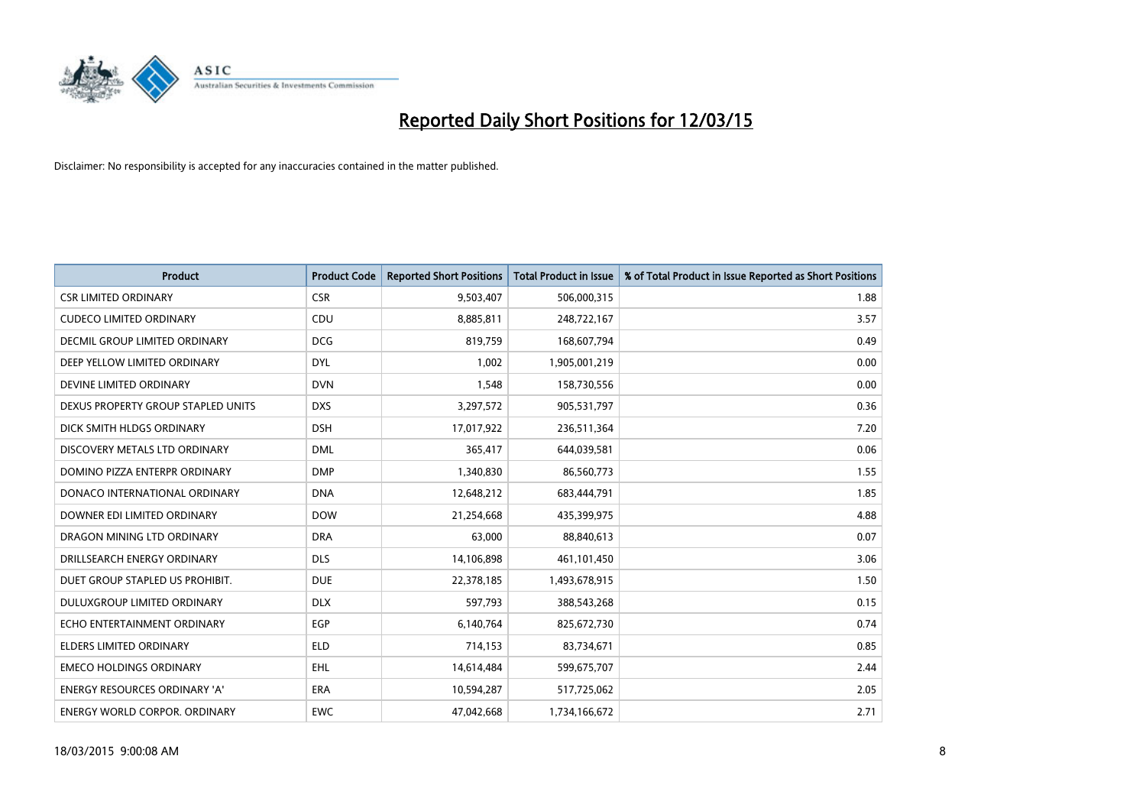

| <b>Product</b>                       | <b>Product Code</b> | <b>Reported Short Positions</b> | <b>Total Product in Issue</b> | % of Total Product in Issue Reported as Short Positions |
|--------------------------------------|---------------------|---------------------------------|-------------------------------|---------------------------------------------------------|
| <b>CSR LIMITED ORDINARY</b>          | <b>CSR</b>          | 9,503,407                       | 506,000,315                   | 1.88                                                    |
| <b>CUDECO LIMITED ORDINARY</b>       | CDU                 | 8,885,811                       | 248,722,167                   | 3.57                                                    |
| DECMIL GROUP LIMITED ORDINARY        | <b>DCG</b>          | 819,759                         | 168,607,794                   | 0.49                                                    |
| DEEP YELLOW LIMITED ORDINARY         | <b>DYL</b>          | 1,002                           | 1,905,001,219                 | 0.00                                                    |
| DEVINE LIMITED ORDINARY              | <b>DVN</b>          | 1,548                           | 158,730,556                   | 0.00                                                    |
| DEXUS PROPERTY GROUP STAPLED UNITS   | <b>DXS</b>          | 3,297,572                       | 905,531,797                   | 0.36                                                    |
| DICK SMITH HLDGS ORDINARY            | <b>DSH</b>          | 17,017,922                      | 236,511,364                   | 7.20                                                    |
| DISCOVERY METALS LTD ORDINARY        | <b>DML</b>          | 365.417                         | 644,039,581                   | 0.06                                                    |
| DOMINO PIZZA ENTERPR ORDINARY        | <b>DMP</b>          | 1,340,830                       | 86,560,773                    | 1.55                                                    |
| DONACO INTERNATIONAL ORDINARY        | <b>DNA</b>          | 12,648,212                      | 683,444,791                   | 1.85                                                    |
| DOWNER EDI LIMITED ORDINARY          | <b>DOW</b>          | 21,254,668                      | 435,399,975                   | 4.88                                                    |
| DRAGON MINING LTD ORDINARY           | <b>DRA</b>          | 63,000                          | 88,840,613                    | 0.07                                                    |
| DRILLSEARCH ENERGY ORDINARY          | <b>DLS</b>          | 14,106,898                      | 461,101,450                   | 3.06                                                    |
| DUET GROUP STAPLED US PROHIBIT.      | <b>DUE</b>          | 22,378,185                      | 1,493,678,915                 | 1.50                                                    |
| DULUXGROUP LIMITED ORDINARY          | <b>DLX</b>          | 597,793                         | 388,543,268                   | 0.15                                                    |
| ECHO ENTERTAINMENT ORDINARY          | <b>EGP</b>          | 6,140,764                       | 825,672,730                   | 0.74                                                    |
| ELDERS LIMITED ORDINARY              | ELD                 | 714,153                         | 83,734,671                    | 0.85                                                    |
| <b>EMECO HOLDINGS ORDINARY</b>       | <b>EHL</b>          | 14,614,484                      | 599,675,707                   | 2.44                                                    |
| <b>ENERGY RESOURCES ORDINARY 'A'</b> | <b>ERA</b>          | 10,594,287                      | 517,725,062                   | 2.05                                                    |
| ENERGY WORLD CORPOR. ORDINARY        | <b>EWC</b>          | 47,042,668                      | 1,734,166,672                 | 2.71                                                    |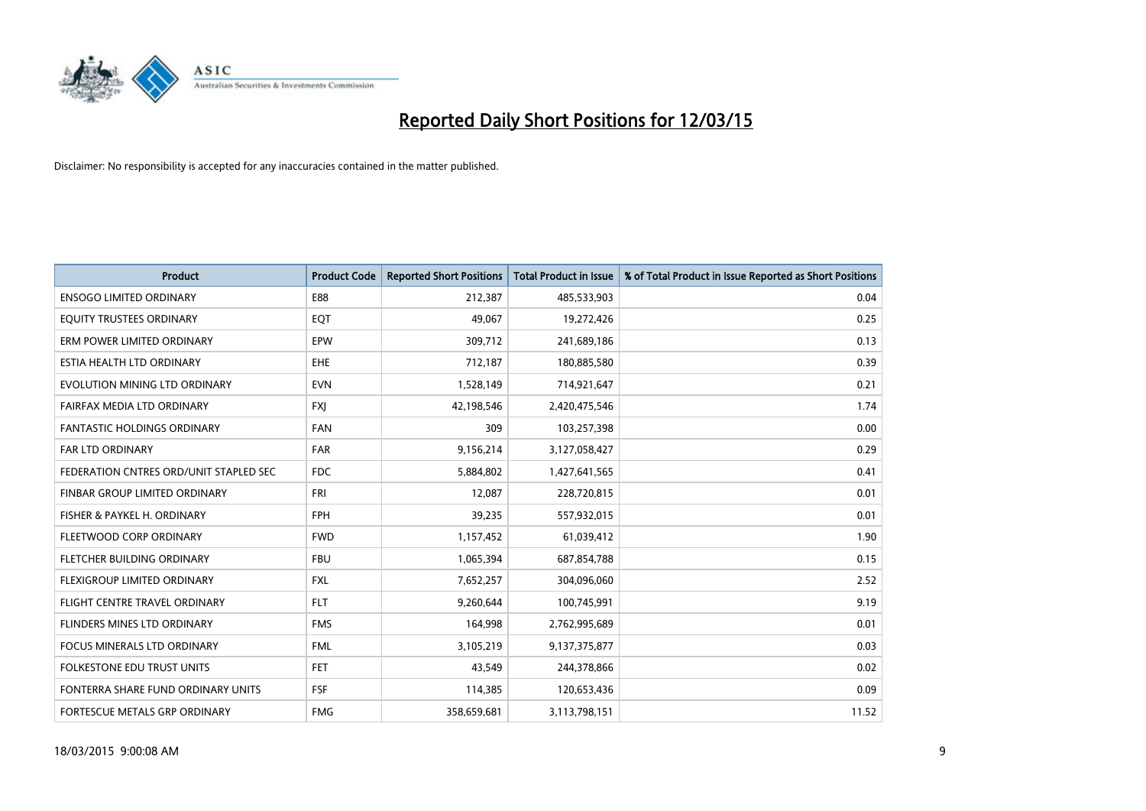

| <b>Product</b>                         | <b>Product Code</b> | <b>Reported Short Positions</b> | <b>Total Product in Issue</b> | % of Total Product in Issue Reported as Short Positions |
|----------------------------------------|---------------------|---------------------------------|-------------------------------|---------------------------------------------------------|
| <b>ENSOGO LIMITED ORDINARY</b>         | E88                 | 212,387                         | 485,533,903                   | 0.04                                                    |
| EQUITY TRUSTEES ORDINARY               | <b>EOT</b>          | 49,067                          | 19,272,426                    | 0.25                                                    |
| ERM POWER LIMITED ORDINARY             | EPW                 | 309,712                         | 241,689,186                   | 0.13                                                    |
| ESTIA HEALTH LTD ORDINARY              | <b>EHE</b>          | 712,187                         | 180,885,580                   | 0.39                                                    |
| EVOLUTION MINING LTD ORDINARY          | <b>EVN</b>          | 1,528,149                       | 714,921,647                   | 0.21                                                    |
| FAIRFAX MEDIA LTD ORDINARY             | <b>FXI</b>          | 42,198,546                      | 2,420,475,546                 | 1.74                                                    |
| <b>FANTASTIC HOLDINGS ORDINARY</b>     | FAN                 | 309                             | 103,257,398                   | 0.00                                                    |
| FAR LTD ORDINARY                       | <b>FAR</b>          | 9,156,214                       | 3,127,058,427                 | 0.29                                                    |
| FEDERATION CNTRES ORD/UNIT STAPLED SEC | <b>FDC</b>          | 5,884,802                       | 1,427,641,565                 | 0.41                                                    |
| FINBAR GROUP LIMITED ORDINARY          | FRI                 | 12,087                          | 228,720,815                   | 0.01                                                    |
| FISHER & PAYKEL H. ORDINARY            | <b>FPH</b>          | 39,235                          | 557,932,015                   | 0.01                                                    |
| FLEETWOOD CORP ORDINARY                | <b>FWD</b>          | 1,157,452                       | 61,039,412                    | 1.90                                                    |
| FLETCHER BUILDING ORDINARY             | <b>FBU</b>          | 1,065,394                       | 687,854,788                   | 0.15                                                    |
| FLEXIGROUP LIMITED ORDINARY            | <b>FXL</b>          | 7,652,257                       | 304,096,060                   | 2.52                                                    |
| FLIGHT CENTRE TRAVEL ORDINARY          | <b>FLT</b>          | 9,260,644                       | 100,745,991                   | 9.19                                                    |
| FLINDERS MINES LTD ORDINARY            | <b>FMS</b>          | 164,998                         | 2,762,995,689                 | 0.01                                                    |
| FOCUS MINERALS LTD ORDINARY            | <b>FML</b>          | 3,105,219                       | 9,137,375,877                 | 0.03                                                    |
| FOLKESTONE EDU TRUST UNITS             | <b>FET</b>          | 43,549                          | 244,378,866                   | 0.02                                                    |
| FONTERRA SHARE FUND ORDINARY UNITS     | <b>FSF</b>          | 114,385                         | 120,653,436                   | 0.09                                                    |
| FORTESCUE METALS GRP ORDINARY          | <b>FMG</b>          | 358,659,681                     | 3,113,798,151                 | 11.52                                                   |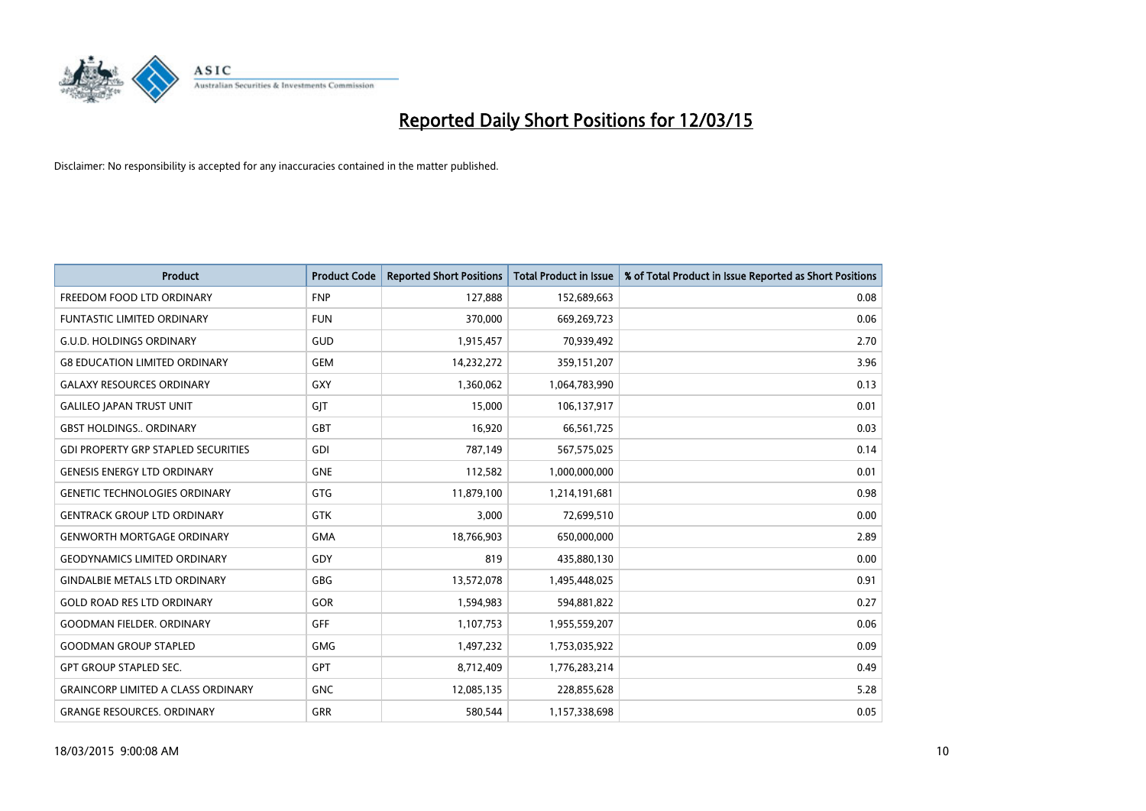

| <b>Product</b>                             | <b>Product Code</b> | <b>Reported Short Positions</b> | <b>Total Product in Issue</b> | % of Total Product in Issue Reported as Short Positions |
|--------------------------------------------|---------------------|---------------------------------|-------------------------------|---------------------------------------------------------|
| FREEDOM FOOD LTD ORDINARY                  | <b>FNP</b>          | 127,888                         | 152,689,663                   | 0.08                                                    |
| <b>FUNTASTIC LIMITED ORDINARY</b>          | <b>FUN</b>          | 370,000                         | 669,269,723                   | 0.06                                                    |
| <b>G.U.D. HOLDINGS ORDINARY</b>            | GUD                 | 1,915,457                       | 70,939,492                    | 2.70                                                    |
| <b>G8 EDUCATION LIMITED ORDINARY</b>       | <b>GEM</b>          | 14,232,272                      | 359,151,207                   | 3.96                                                    |
| <b>GALAXY RESOURCES ORDINARY</b>           | GXY                 | 1,360,062                       | 1,064,783,990                 | 0.13                                                    |
| <b>GALILEO JAPAN TRUST UNIT</b>            | GJT                 | 15,000                          | 106,137,917                   | 0.01                                                    |
| <b>GBST HOLDINGS ORDINARY</b>              | GBT                 | 16,920                          | 66,561,725                    | 0.03                                                    |
| <b>GDI PROPERTY GRP STAPLED SECURITIES</b> | GDI                 | 787,149                         | 567,575,025                   | 0.14                                                    |
| <b>GENESIS ENERGY LTD ORDINARY</b>         | <b>GNE</b>          | 112,582                         | 1,000,000,000                 | 0.01                                                    |
| <b>GENETIC TECHNOLOGIES ORDINARY</b>       | GTG                 | 11,879,100                      | 1,214,191,681                 | 0.98                                                    |
| <b>GENTRACK GROUP LTD ORDINARY</b>         | <b>GTK</b>          | 3,000                           | 72,699,510                    | 0.00                                                    |
| <b>GENWORTH MORTGAGE ORDINARY</b>          | <b>GMA</b>          | 18,766,903                      | 650,000,000                   | 2.89                                                    |
| <b>GEODYNAMICS LIMITED ORDINARY</b>        | GDY                 | 819                             | 435,880,130                   | 0.00                                                    |
| <b>GINDALBIE METALS LTD ORDINARY</b>       | GBG                 | 13,572,078                      | 1,495,448,025                 | 0.91                                                    |
| <b>GOLD ROAD RES LTD ORDINARY</b>          | GOR                 | 1,594,983                       | 594,881,822                   | 0.27                                                    |
| <b>GOODMAN FIELDER. ORDINARY</b>           | <b>GFF</b>          | 1,107,753                       | 1,955,559,207                 | 0.06                                                    |
| <b>GOODMAN GROUP STAPLED</b>               | GMG                 | 1,497,232                       | 1,753,035,922                 | 0.09                                                    |
| <b>GPT GROUP STAPLED SEC.</b>              | GPT                 | 8,712,409                       | 1,776,283,214                 | 0.49                                                    |
| <b>GRAINCORP LIMITED A CLASS ORDINARY</b>  | <b>GNC</b>          | 12,085,135                      | 228,855,628                   | 5.28                                                    |
| <b>GRANGE RESOURCES, ORDINARY</b>          | <b>GRR</b>          | 580,544                         | 1,157,338,698                 | 0.05                                                    |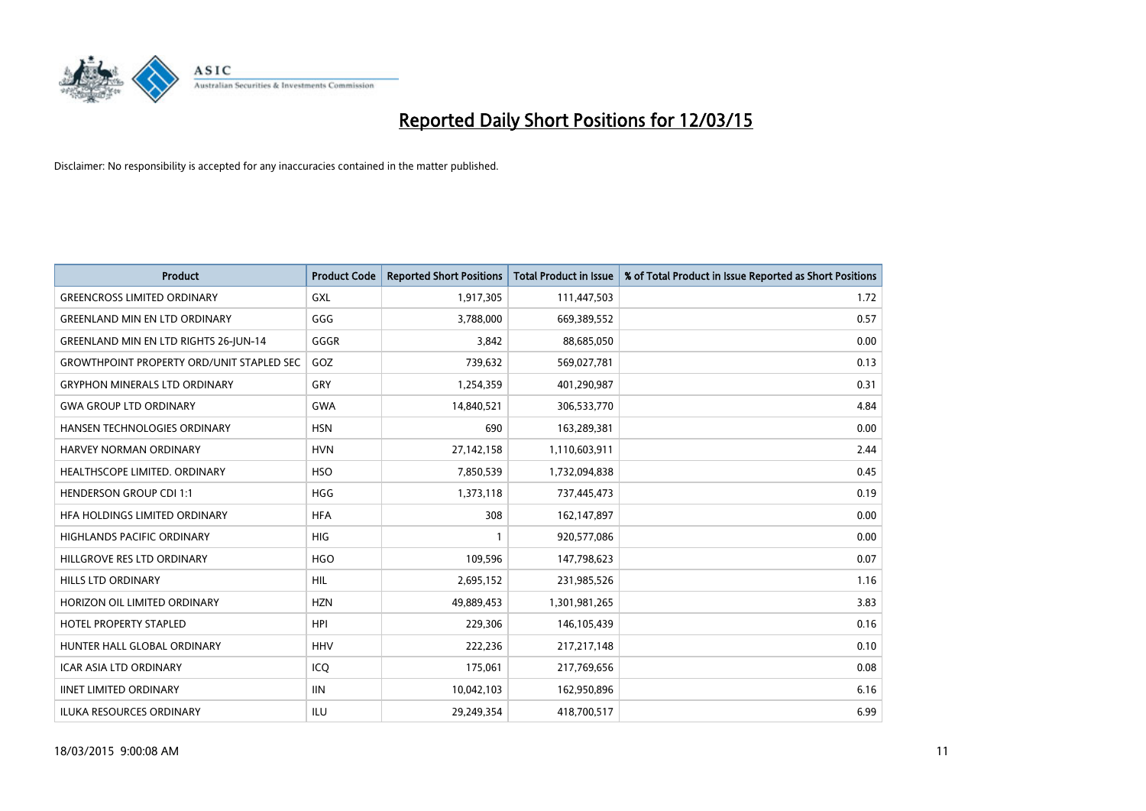

| <b>Product</b>                                   | <b>Product Code</b> | <b>Reported Short Positions</b> | <b>Total Product in Issue</b> | % of Total Product in Issue Reported as Short Positions |
|--------------------------------------------------|---------------------|---------------------------------|-------------------------------|---------------------------------------------------------|
| <b>GREENCROSS LIMITED ORDINARY</b>               | <b>GXL</b>          | 1,917,305                       | 111,447,503                   | 1.72                                                    |
| <b>GREENLAND MIN EN LTD ORDINARY</b>             | GGG                 | 3,788,000                       | 669,389,552                   | 0.57                                                    |
| <b>GREENLAND MIN EN LTD RIGHTS 26-JUN-14</b>     | GGGR                | 3,842                           | 88,685,050                    | 0.00                                                    |
| <b>GROWTHPOINT PROPERTY ORD/UNIT STAPLED SEC</b> | GOZ                 | 739,632                         | 569,027,781                   | 0.13                                                    |
| <b>GRYPHON MINERALS LTD ORDINARY</b>             | GRY                 | 1,254,359                       | 401,290,987                   | 0.31                                                    |
| <b>GWA GROUP LTD ORDINARY</b>                    | <b>GWA</b>          | 14,840,521                      | 306,533,770                   | 4.84                                                    |
| HANSEN TECHNOLOGIES ORDINARY                     | <b>HSN</b>          | 690                             | 163,289,381                   | 0.00                                                    |
| HARVEY NORMAN ORDINARY                           | <b>HVN</b>          | 27,142,158                      | 1,110,603,911                 | 2.44                                                    |
| HEALTHSCOPE LIMITED. ORDINARY                    | <b>HSO</b>          | 7,850,539                       | 1,732,094,838                 | 0.45                                                    |
| <b>HENDERSON GROUP CDI 1:1</b>                   | <b>HGG</b>          | 1,373,118                       | 737,445,473                   | 0.19                                                    |
| HFA HOLDINGS LIMITED ORDINARY                    | <b>HFA</b>          | 308                             | 162,147,897                   | 0.00                                                    |
| <b>HIGHLANDS PACIFIC ORDINARY</b>                | <b>HIG</b>          | 1                               | 920,577,086                   | 0.00                                                    |
| HILLGROVE RES LTD ORDINARY                       | <b>HGO</b>          | 109,596                         | 147,798,623                   | 0.07                                                    |
| <b>HILLS LTD ORDINARY</b>                        | <b>HIL</b>          | 2,695,152                       | 231,985,526                   | 1.16                                                    |
| HORIZON OIL LIMITED ORDINARY                     | <b>HZN</b>          | 49,889,453                      | 1,301,981,265                 | 3.83                                                    |
| HOTEL PROPERTY STAPLED                           | <b>HPI</b>          | 229,306                         | 146, 105, 439                 | 0.16                                                    |
| HUNTER HALL GLOBAL ORDINARY                      | <b>HHV</b>          | 222,236                         | 217,217,148                   | 0.10                                                    |
| <b>ICAR ASIA LTD ORDINARY</b>                    | ICQ                 | 175,061                         | 217,769,656                   | 0.08                                                    |
| <b>IINET LIMITED ORDINARY</b>                    | <b>IIN</b>          | 10,042,103                      | 162,950,896                   | 6.16                                                    |
| ILUKA RESOURCES ORDINARY                         | ILU                 | 29,249,354                      | 418,700,517                   | 6.99                                                    |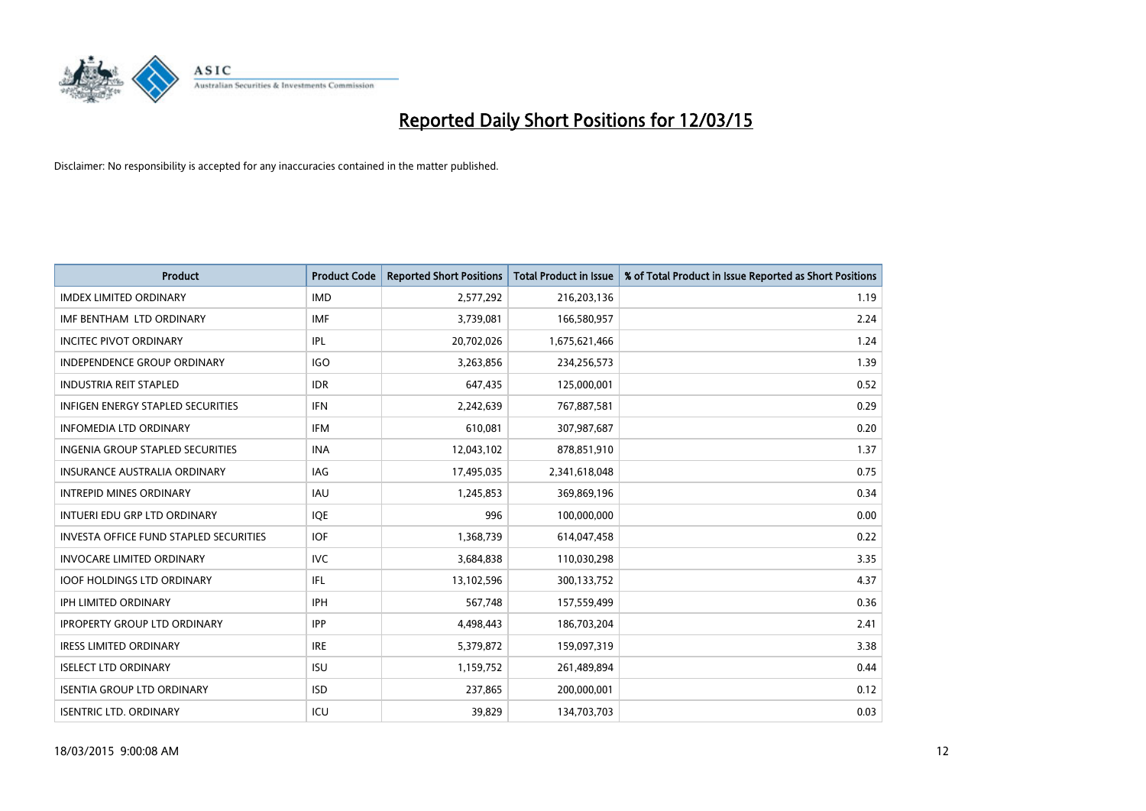

| <b>Product</b>                                | <b>Product Code</b> | <b>Reported Short Positions</b> | <b>Total Product in Issue</b> | % of Total Product in Issue Reported as Short Positions |
|-----------------------------------------------|---------------------|---------------------------------|-------------------------------|---------------------------------------------------------|
| <b>IMDEX LIMITED ORDINARY</b>                 | <b>IMD</b>          | 2,577,292                       | 216,203,136                   | 1.19                                                    |
| IMF BENTHAM LTD ORDINARY                      | <b>IMF</b>          | 3,739,081                       | 166,580,957                   | 2.24                                                    |
| <b>INCITEC PIVOT ORDINARY</b>                 | IPL                 | 20,702,026                      | 1,675,621,466                 | 1.24                                                    |
| INDEPENDENCE GROUP ORDINARY                   | <b>IGO</b>          | 3,263,856                       | 234,256,573                   | 1.39                                                    |
| <b>INDUSTRIA REIT STAPLED</b>                 | <b>IDR</b>          | 647,435                         | 125,000,001                   | 0.52                                                    |
| <b>INFIGEN ENERGY STAPLED SECURITIES</b>      | <b>IFN</b>          | 2,242,639                       | 767,887,581                   | 0.29                                                    |
| <b>INFOMEDIA LTD ORDINARY</b>                 | <b>IFM</b>          | 610,081                         | 307,987,687                   | 0.20                                                    |
| <b>INGENIA GROUP STAPLED SECURITIES</b>       | <b>INA</b>          | 12,043,102                      | 878,851,910                   | 1.37                                                    |
| INSURANCE AUSTRALIA ORDINARY                  | IAG                 | 17,495,035                      | 2,341,618,048                 | 0.75                                                    |
| <b>INTREPID MINES ORDINARY</b>                | <b>IAU</b>          | 1,245,853                       | 369,869,196                   | 0.34                                                    |
| INTUERI EDU GRP LTD ORDINARY                  | IQE                 | 996                             | 100,000,000                   | 0.00                                                    |
| <b>INVESTA OFFICE FUND STAPLED SECURITIES</b> | <b>IOF</b>          | 1,368,739                       | 614,047,458                   | 0.22                                                    |
| <b>INVOCARE LIMITED ORDINARY</b>              | <b>IVC</b>          | 3,684,838                       | 110,030,298                   | 3.35                                                    |
| <b>IOOF HOLDINGS LTD ORDINARY</b>             | IFL                 | 13,102,596                      | 300,133,752                   | 4.37                                                    |
| <b>IPH LIMITED ORDINARY</b>                   | IPH                 | 567,748                         | 157,559,499                   | 0.36                                                    |
| <b>IPROPERTY GROUP LTD ORDINARY</b>           | <b>IPP</b>          | 4,498,443                       | 186,703,204                   | 2.41                                                    |
| <b>IRESS LIMITED ORDINARY</b>                 | <b>IRE</b>          | 5,379,872                       | 159,097,319                   | 3.38                                                    |
| <b>ISELECT LTD ORDINARY</b>                   | <b>ISU</b>          | 1,159,752                       | 261,489,894                   | 0.44                                                    |
| <b>ISENTIA GROUP LTD ORDINARY</b>             | <b>ISD</b>          | 237,865                         | 200,000,001                   | 0.12                                                    |
| <b>ISENTRIC LTD. ORDINARY</b>                 | ICU                 | 39.829                          | 134,703,703                   | 0.03                                                    |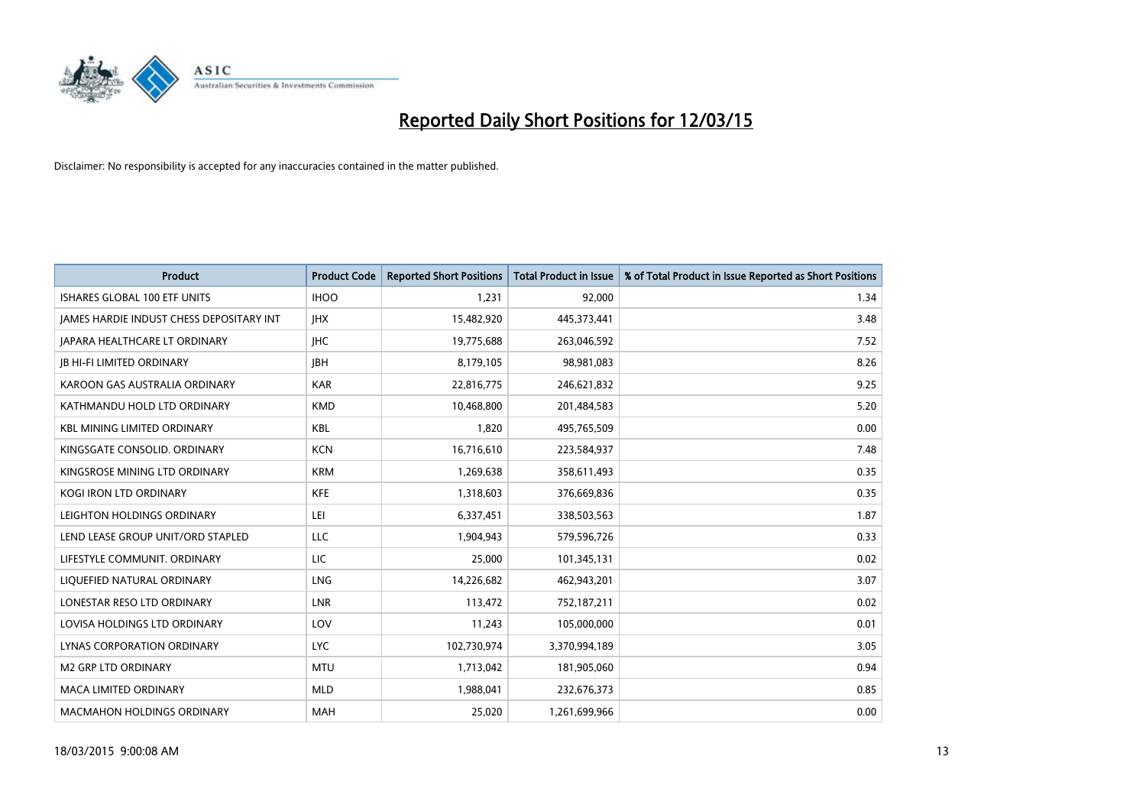

| <b>Product</b>                           | <b>Product Code</b> | <b>Reported Short Positions</b> | <b>Total Product in Issue</b> | % of Total Product in Issue Reported as Short Positions |
|------------------------------------------|---------------------|---------------------------------|-------------------------------|---------------------------------------------------------|
| <b>ISHARES GLOBAL 100 ETF UNITS</b>      | <b>IHOO</b>         | 1,231                           | 92,000                        | 1.34                                                    |
| JAMES HARDIE INDUST CHESS DEPOSITARY INT | <b>IHX</b>          | 15,482,920                      | 445,373,441                   | 3.48                                                    |
| <b>JAPARA HEALTHCARE LT ORDINARY</b>     | <b>IHC</b>          | 19,775,688                      | 263,046,592                   | 7.52                                                    |
| <b>JB HI-FI LIMITED ORDINARY</b>         | <b>IBH</b>          | 8,179,105                       | 98,981,083                    | 8.26                                                    |
| KAROON GAS AUSTRALIA ORDINARY            | <b>KAR</b>          | 22,816,775                      | 246,621,832                   | 9.25                                                    |
| KATHMANDU HOLD LTD ORDINARY              | <b>KMD</b>          | 10,468,800                      | 201,484,583                   | 5.20                                                    |
| <b>KBL MINING LIMITED ORDINARY</b>       | <b>KBL</b>          | 1,820                           | 495,765,509                   | 0.00                                                    |
| KINGSGATE CONSOLID. ORDINARY             | <b>KCN</b>          | 16,716,610                      | 223,584,937                   | 7.48                                                    |
| KINGSROSE MINING LTD ORDINARY            | <b>KRM</b>          | 1,269,638                       | 358,611,493                   | 0.35                                                    |
| <b>KOGI IRON LTD ORDINARY</b>            | <b>KFE</b>          | 1,318,603                       | 376,669,836                   | 0.35                                                    |
| LEIGHTON HOLDINGS ORDINARY               | LEI                 | 6,337,451                       | 338,503,563                   | 1.87                                                    |
| LEND LEASE GROUP UNIT/ORD STAPLED        | <b>LLC</b>          | 1,904,943                       | 579,596,726                   | 0.33                                                    |
| LIFESTYLE COMMUNIT, ORDINARY             | <b>LIC</b>          | 25,000                          | 101,345,131                   | 0.02                                                    |
| LIQUEFIED NATURAL ORDINARY               | <b>LNG</b>          | 14,226,682                      | 462,943,201                   | 3.07                                                    |
| LONESTAR RESO LTD ORDINARY               | <b>LNR</b>          | 113,472                         | 752,187,211                   | 0.02                                                    |
| LOVISA HOLDINGS LTD ORDINARY             | LOV                 | 11,243                          | 105,000,000                   | 0.01                                                    |
| LYNAS CORPORATION ORDINARY               | <b>LYC</b>          | 102,730,974                     | 3,370,994,189                 | 3.05                                                    |
| <b>M2 GRP LTD ORDINARY</b>               | <b>MTU</b>          | 1,713,042                       | 181,905,060                   | 0.94                                                    |
| <b>MACA LIMITED ORDINARY</b>             | <b>MLD</b>          | 1,988,041                       | 232,676,373                   | 0.85                                                    |
| <b>MACMAHON HOLDINGS ORDINARY</b>        | <b>MAH</b>          | 25,020                          | 1,261,699,966                 | 0.00                                                    |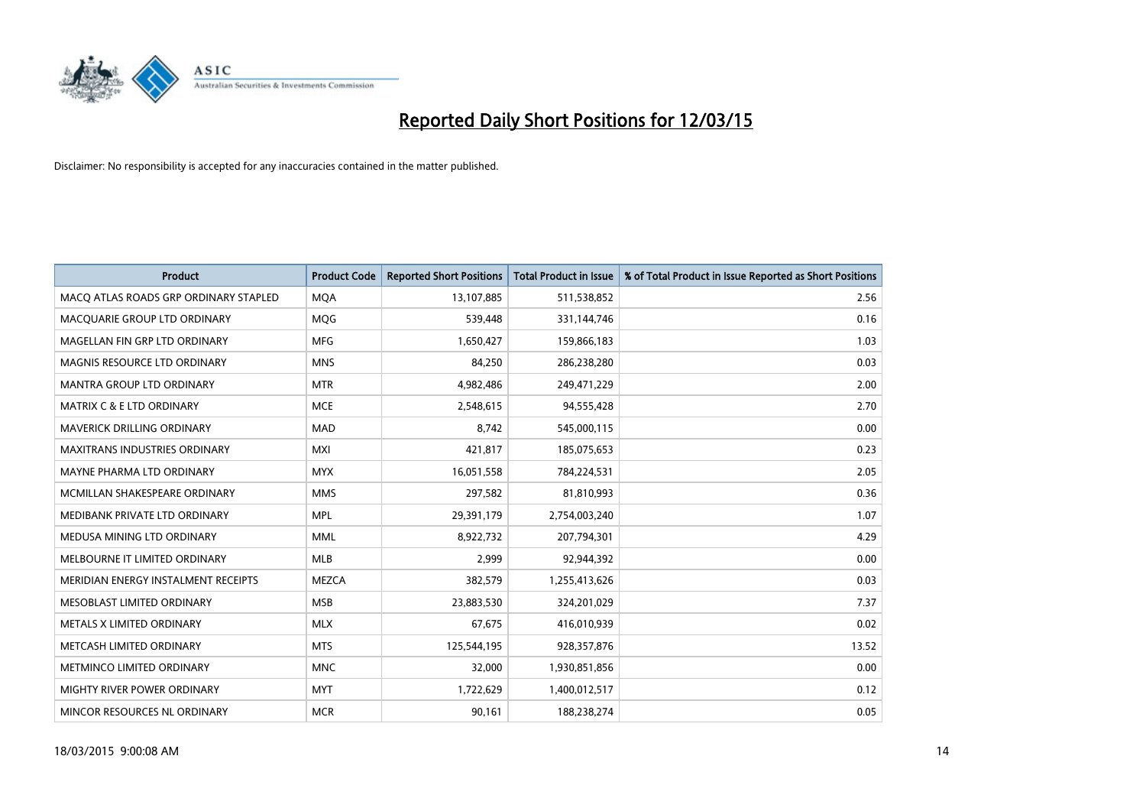

| <b>Product</b>                        | <b>Product Code</b> | <b>Reported Short Positions</b> | <b>Total Product in Issue</b> | % of Total Product in Issue Reported as Short Positions |
|---------------------------------------|---------------------|---------------------------------|-------------------------------|---------------------------------------------------------|
| MACO ATLAS ROADS GRP ORDINARY STAPLED | <b>MQA</b>          | 13,107,885                      | 511,538,852                   | 2.56                                                    |
| MACQUARIE GROUP LTD ORDINARY          | MQG                 | 539,448                         | 331,144,746                   | 0.16                                                    |
| MAGELLAN FIN GRP LTD ORDINARY         | <b>MFG</b>          | 1,650,427                       | 159,866,183                   | 1.03                                                    |
| MAGNIS RESOURCE LTD ORDINARY          | <b>MNS</b>          | 84,250                          | 286,238,280                   | 0.03                                                    |
| <b>MANTRA GROUP LTD ORDINARY</b>      | <b>MTR</b>          | 4,982,486                       | 249,471,229                   | 2.00                                                    |
| <b>MATRIX C &amp; E LTD ORDINARY</b>  | <b>MCE</b>          | 2,548,615                       | 94,555,428                    | 2.70                                                    |
| MAVERICK DRILLING ORDINARY            | <b>MAD</b>          | 8,742                           | 545,000,115                   | 0.00                                                    |
| <b>MAXITRANS INDUSTRIES ORDINARY</b>  | <b>MXI</b>          | 421,817                         | 185,075,653                   | 0.23                                                    |
| MAYNE PHARMA LTD ORDINARY             | <b>MYX</b>          | 16,051,558                      | 784,224,531                   | 2.05                                                    |
| MCMILLAN SHAKESPEARE ORDINARY         | <b>MMS</b>          | 297,582                         | 81,810,993                    | 0.36                                                    |
| MEDIBANK PRIVATE LTD ORDINARY         | <b>MPL</b>          | 29,391,179                      | 2,754,003,240                 | 1.07                                                    |
| MEDUSA MINING LTD ORDINARY            | <b>MML</b>          | 8,922,732                       | 207,794,301                   | 4.29                                                    |
| MELBOURNE IT LIMITED ORDINARY         | <b>MLB</b>          | 2,999                           | 92,944,392                    | 0.00                                                    |
| MERIDIAN ENERGY INSTALMENT RECEIPTS   | <b>MEZCA</b>        | 382,579                         | 1,255,413,626                 | 0.03                                                    |
| MESOBLAST LIMITED ORDINARY            | <b>MSB</b>          | 23,883,530                      | 324,201,029                   | 7.37                                                    |
| METALS X LIMITED ORDINARY             | <b>MLX</b>          | 67,675                          | 416,010,939                   | 0.02                                                    |
| METCASH LIMITED ORDINARY              | <b>MTS</b>          | 125,544,195                     | 928,357,876                   | 13.52                                                   |
| METMINCO LIMITED ORDINARY             | <b>MNC</b>          | 32,000                          | 1,930,851,856                 | 0.00                                                    |
| MIGHTY RIVER POWER ORDINARY           | <b>MYT</b>          | 1,722,629                       | 1,400,012,517                 | 0.12                                                    |
| MINCOR RESOURCES NL ORDINARY          | <b>MCR</b>          | 90,161                          | 188,238,274                   | 0.05                                                    |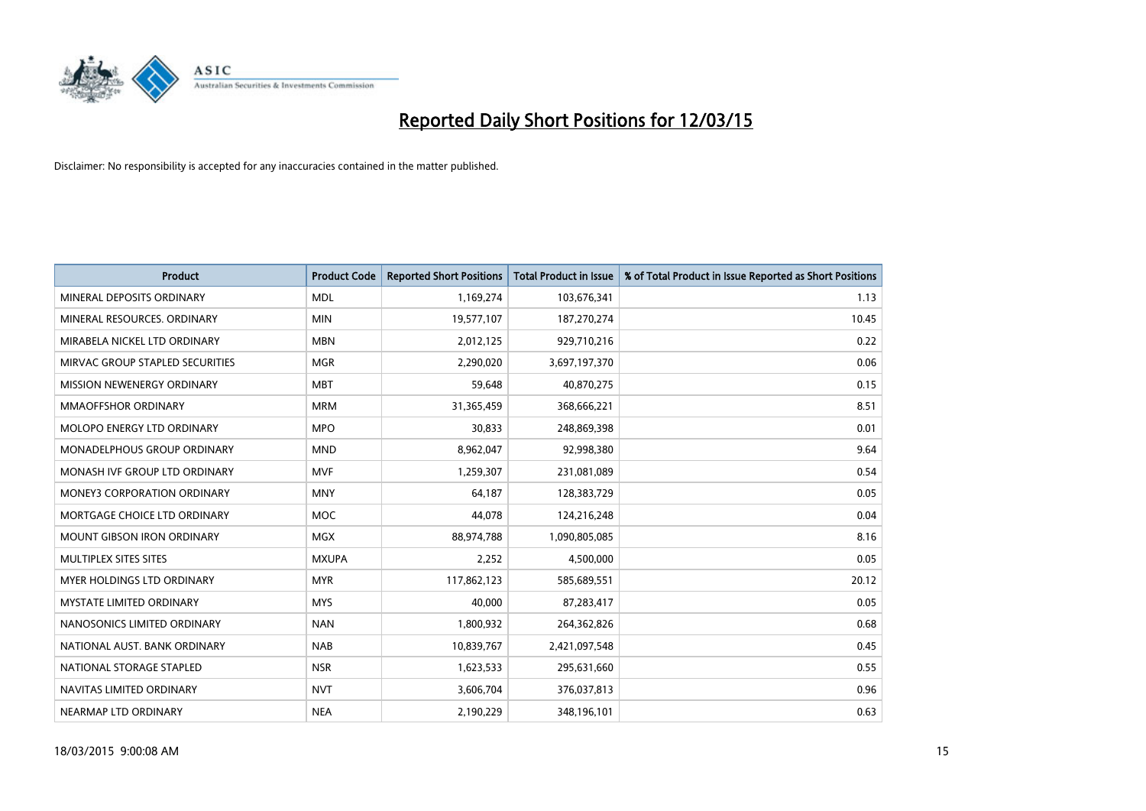

| <b>Product</b>                     | <b>Product Code</b> | <b>Reported Short Positions</b> | <b>Total Product in Issue</b> | % of Total Product in Issue Reported as Short Positions |
|------------------------------------|---------------------|---------------------------------|-------------------------------|---------------------------------------------------------|
| MINERAL DEPOSITS ORDINARY          | <b>MDL</b>          | 1,169,274                       | 103,676,341                   | 1.13                                                    |
| MINERAL RESOURCES. ORDINARY        | <b>MIN</b>          | 19,577,107                      | 187,270,274                   | 10.45                                                   |
| MIRABELA NICKEL LTD ORDINARY       | <b>MBN</b>          | 2,012,125                       | 929,710,216                   | 0.22                                                    |
| MIRVAC GROUP STAPLED SECURITIES    | <b>MGR</b>          | 2,290,020                       | 3,697,197,370                 | 0.06                                                    |
| MISSION NEWENERGY ORDINARY         | <b>MBT</b>          | 59,648                          | 40,870,275                    | 0.15                                                    |
| <b>MMAOFFSHOR ORDINARY</b>         | <b>MRM</b>          | 31,365,459                      | 368,666,221                   | 8.51                                                    |
| MOLOPO ENERGY LTD ORDINARY         | <b>MPO</b>          | 30,833                          | 248,869,398                   | 0.01                                                    |
| MONADELPHOUS GROUP ORDINARY        | <b>MND</b>          | 8,962,047                       | 92,998,380                    | 9.64                                                    |
| MONASH IVF GROUP LTD ORDINARY      | <b>MVF</b>          | 1,259,307                       | 231,081,089                   | 0.54                                                    |
| <b>MONEY3 CORPORATION ORDINARY</b> | <b>MNY</b>          | 64,187                          | 128,383,729                   | 0.05                                                    |
| MORTGAGE CHOICE LTD ORDINARY       | MOC                 | 44,078                          | 124,216,248                   | 0.04                                                    |
| <b>MOUNT GIBSON IRON ORDINARY</b>  | <b>MGX</b>          | 88,974,788                      | 1,090,805,085                 | 8.16                                                    |
| MULTIPLEX SITES SITES              | <b>MXUPA</b>        | 2,252                           | 4,500,000                     | 0.05                                                    |
| MYER HOLDINGS LTD ORDINARY         | <b>MYR</b>          | 117,862,123                     | 585,689,551                   | 20.12                                                   |
| <b>MYSTATE LIMITED ORDINARY</b>    | <b>MYS</b>          | 40,000                          | 87,283,417                    | 0.05                                                    |
| NANOSONICS LIMITED ORDINARY        | <b>NAN</b>          | 1,800,932                       | 264,362,826                   | 0.68                                                    |
| NATIONAL AUST. BANK ORDINARY       | <b>NAB</b>          | 10,839,767                      | 2,421,097,548                 | 0.45                                                    |
| NATIONAL STORAGE STAPLED           | <b>NSR</b>          | 1,623,533                       | 295,631,660                   | 0.55                                                    |
| NAVITAS LIMITED ORDINARY           | <b>NVT</b>          | 3,606,704                       | 376,037,813                   | 0.96                                                    |
| NEARMAP LTD ORDINARY               | <b>NEA</b>          | 2,190,229                       | 348,196,101                   | 0.63                                                    |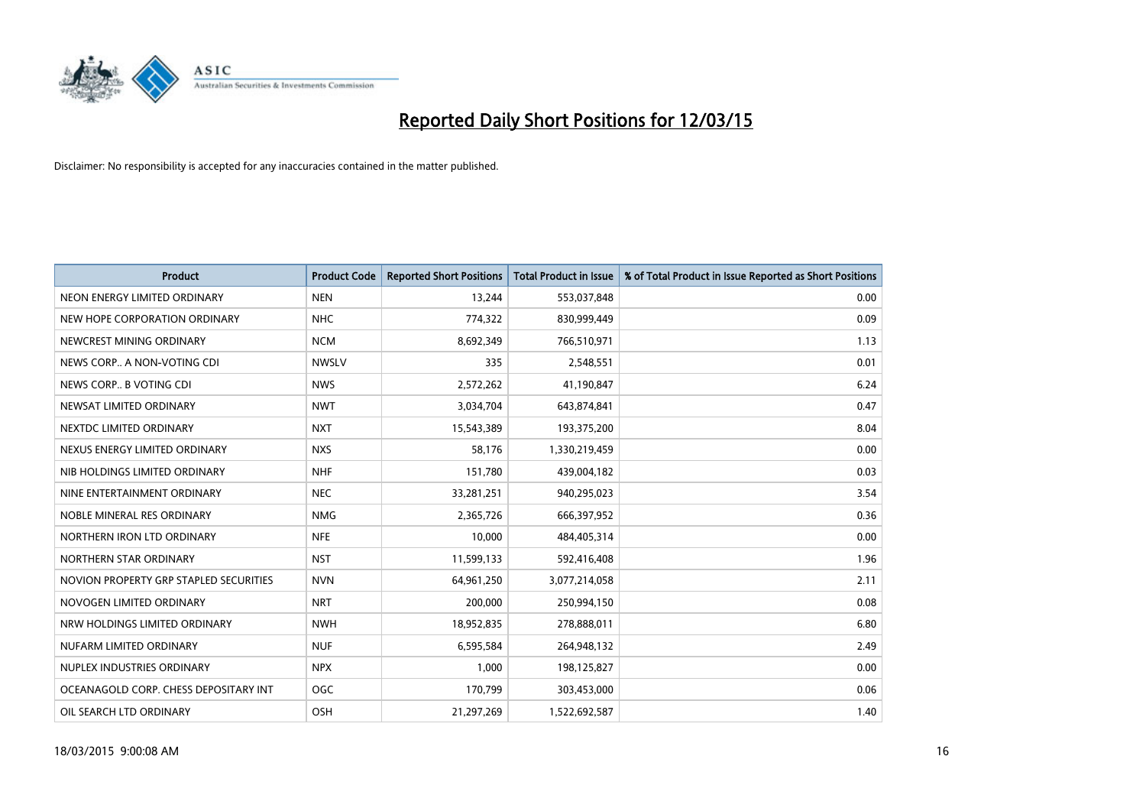

| <b>Product</b>                         | <b>Product Code</b> | <b>Reported Short Positions</b> | <b>Total Product in Issue</b> | % of Total Product in Issue Reported as Short Positions |
|----------------------------------------|---------------------|---------------------------------|-------------------------------|---------------------------------------------------------|
| NEON ENERGY LIMITED ORDINARY           | <b>NEN</b>          | 13,244                          | 553,037,848                   | 0.00                                                    |
| NEW HOPE CORPORATION ORDINARY          | NHC                 | 774,322                         | 830,999,449                   | 0.09                                                    |
| NEWCREST MINING ORDINARY               | <b>NCM</b>          | 8,692,349                       | 766,510,971                   | 1.13                                                    |
| NEWS CORP A NON-VOTING CDI             | <b>NWSLV</b>        | 335                             | 2,548,551                     | 0.01                                                    |
| NEWS CORP B VOTING CDI                 | <b>NWS</b>          | 2,572,262                       | 41,190,847                    | 6.24                                                    |
| NEWSAT LIMITED ORDINARY                | <b>NWT</b>          | 3,034,704                       | 643,874,841                   | 0.47                                                    |
| NEXTDC LIMITED ORDINARY                | <b>NXT</b>          | 15,543,389                      | 193,375,200                   | 8.04                                                    |
| NEXUS ENERGY LIMITED ORDINARY          | <b>NXS</b>          | 58,176                          | 1,330,219,459                 | 0.00                                                    |
| NIB HOLDINGS LIMITED ORDINARY          | <b>NHF</b>          | 151,780                         | 439,004,182                   | 0.03                                                    |
| NINE ENTERTAINMENT ORDINARY            | <b>NEC</b>          | 33,281,251                      | 940,295,023                   | 3.54                                                    |
| NOBLE MINERAL RES ORDINARY             | <b>NMG</b>          | 2,365,726                       | 666,397,952                   | 0.36                                                    |
| NORTHERN IRON LTD ORDINARY             | <b>NFE</b>          | 10,000                          | 484,405,314                   | 0.00                                                    |
| NORTHERN STAR ORDINARY                 | <b>NST</b>          | 11,599,133                      | 592,416,408                   | 1.96                                                    |
| NOVION PROPERTY GRP STAPLED SECURITIES | <b>NVN</b>          | 64,961,250                      | 3,077,214,058                 | 2.11                                                    |
| NOVOGEN LIMITED ORDINARY               | <b>NRT</b>          | 200,000                         | 250,994,150                   | 0.08                                                    |
| NRW HOLDINGS LIMITED ORDINARY          | <b>NWH</b>          | 18,952,835                      | 278,888,011                   | 6.80                                                    |
| NUFARM LIMITED ORDINARY                | <b>NUF</b>          | 6,595,584                       | 264,948,132                   | 2.49                                                    |
| NUPLEX INDUSTRIES ORDINARY             | <b>NPX</b>          | 1,000                           | 198,125,827                   | 0.00                                                    |
| OCEANAGOLD CORP. CHESS DEPOSITARY INT  | <b>OGC</b>          | 170,799                         | 303,453,000                   | 0.06                                                    |
| OIL SEARCH LTD ORDINARY                | OSH                 | 21,297,269                      | 1,522,692,587                 | 1.40                                                    |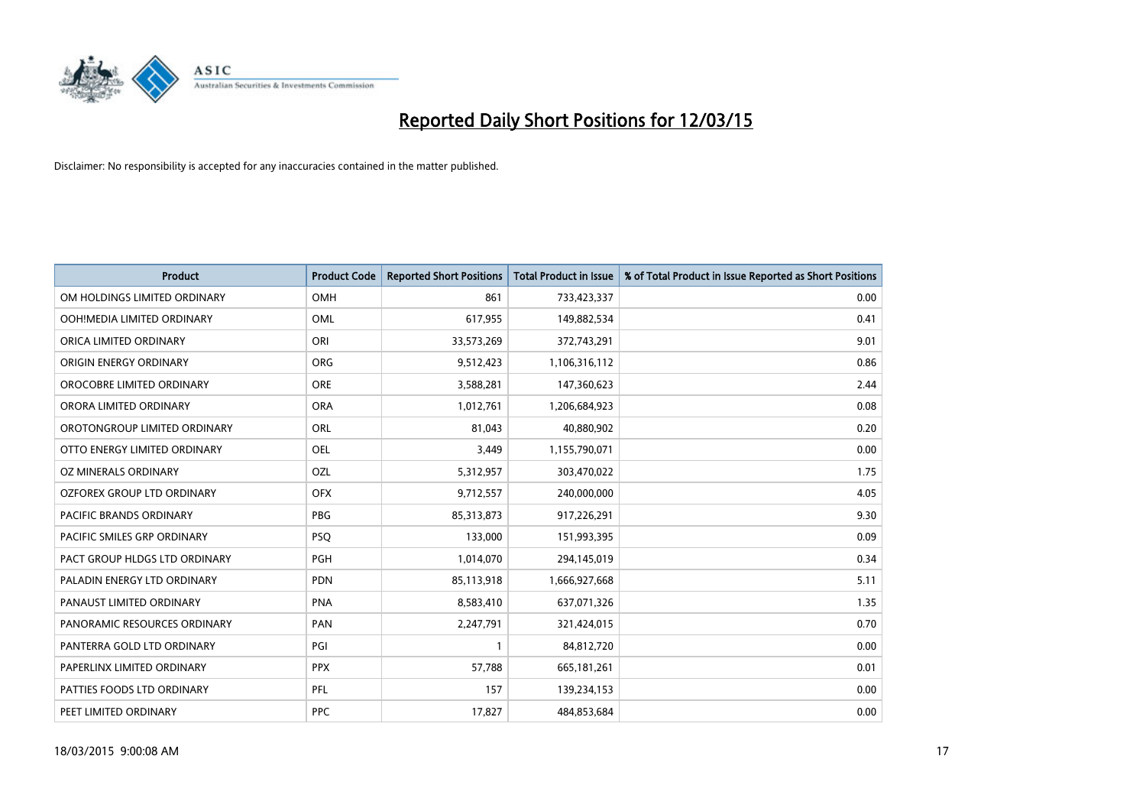

| <b>Product</b>                | <b>Product Code</b> | <b>Reported Short Positions</b> | <b>Total Product in Issue</b> | % of Total Product in Issue Reported as Short Positions |
|-------------------------------|---------------------|---------------------------------|-------------------------------|---------------------------------------------------------|
| OM HOLDINGS LIMITED ORDINARY  | <b>OMH</b>          | 861                             | 733,423,337                   | 0.00                                                    |
| OOH!MEDIA LIMITED ORDINARY    | OML                 | 617,955                         | 149,882,534                   | 0.41                                                    |
| ORICA LIMITED ORDINARY        | ORI                 | 33,573,269                      | 372,743,291                   | 9.01                                                    |
| ORIGIN ENERGY ORDINARY        | <b>ORG</b>          | 9,512,423                       | 1,106,316,112                 | 0.86                                                    |
| OROCOBRE LIMITED ORDINARY     | <b>ORE</b>          | 3,588,281                       | 147,360,623                   | 2.44                                                    |
| ORORA LIMITED ORDINARY        | <b>ORA</b>          | 1,012,761                       | 1,206,684,923                 | 0.08                                                    |
| OROTONGROUP LIMITED ORDINARY  | ORL                 | 81,043                          | 40,880,902                    | 0.20                                                    |
| OTTO ENERGY LIMITED ORDINARY  | <b>OEL</b>          | 3,449                           | 1,155,790,071                 | 0.00                                                    |
| OZ MINERALS ORDINARY          | OZL                 | 5,312,957                       | 303,470,022                   | 1.75                                                    |
| OZFOREX GROUP LTD ORDINARY    | <b>OFX</b>          | 9,712,557                       | 240,000,000                   | 4.05                                                    |
| PACIFIC BRANDS ORDINARY       | <b>PBG</b>          | 85,313,873                      | 917,226,291                   | 9.30                                                    |
| PACIFIC SMILES GRP ORDINARY   | <b>PSQ</b>          | 133,000                         | 151,993,395                   | 0.09                                                    |
| PACT GROUP HLDGS LTD ORDINARY | <b>PGH</b>          | 1,014,070                       | 294,145,019                   | 0.34                                                    |
| PALADIN ENERGY LTD ORDINARY   | <b>PDN</b>          | 85,113,918                      | 1,666,927,668                 | 5.11                                                    |
| PANAUST LIMITED ORDINARY      | <b>PNA</b>          | 8,583,410                       | 637,071,326                   | 1.35                                                    |
| PANORAMIC RESOURCES ORDINARY  | PAN                 | 2,247,791                       | 321,424,015                   | 0.70                                                    |
| PANTERRA GOLD LTD ORDINARY    | PGI                 | $\mathbf{1}$                    | 84,812,720                    | 0.00                                                    |
| PAPERLINX LIMITED ORDINARY    | <b>PPX</b>          | 57,788                          | 665, 181, 261                 | 0.01                                                    |
| PATTIES FOODS LTD ORDINARY    | <b>PFL</b>          | 157                             | 139,234,153                   | 0.00                                                    |
| PEET LIMITED ORDINARY         | <b>PPC</b>          | 17,827                          | 484,853,684                   | 0.00                                                    |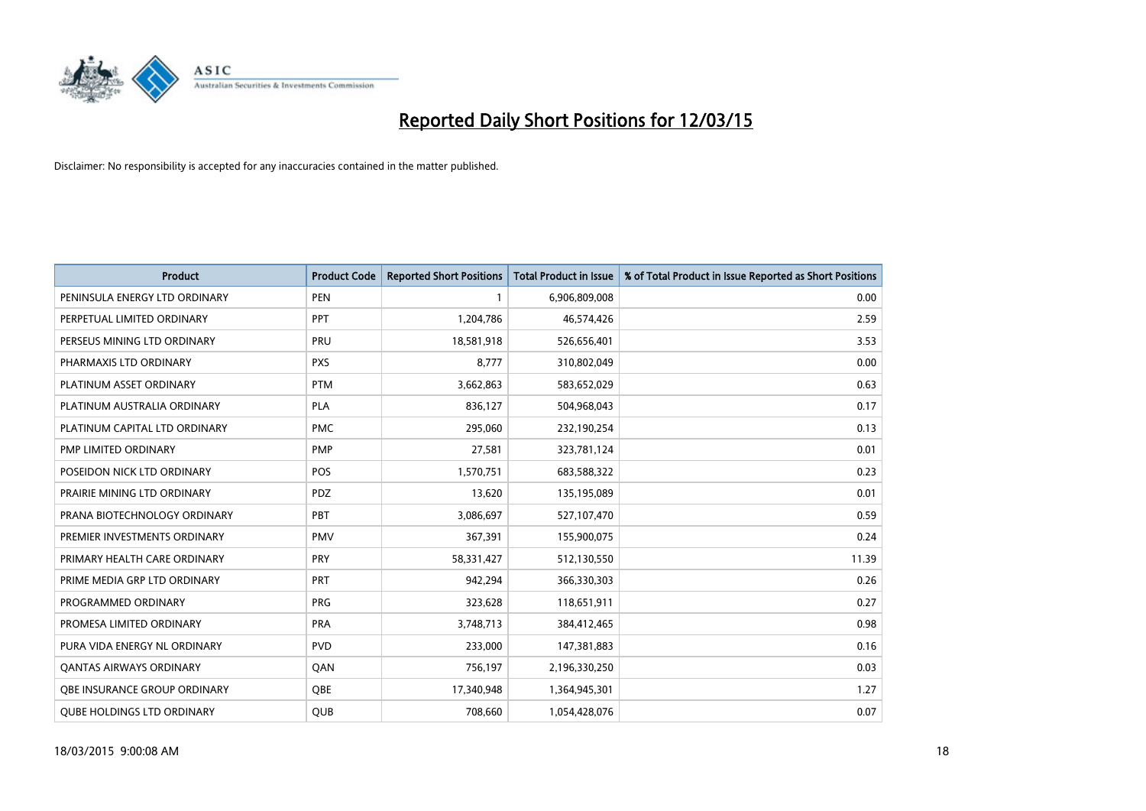

| <b>Product</b>                    | <b>Product Code</b> | <b>Reported Short Positions</b> | <b>Total Product in Issue</b> | % of Total Product in Issue Reported as Short Positions |
|-----------------------------------|---------------------|---------------------------------|-------------------------------|---------------------------------------------------------|
| PENINSULA ENERGY LTD ORDINARY     | <b>PEN</b>          | $\mathbf{1}$                    | 6,906,809,008                 | 0.00                                                    |
| PERPETUAL LIMITED ORDINARY        | <b>PPT</b>          | 1,204,786                       | 46,574,426                    | 2.59                                                    |
| PERSEUS MINING LTD ORDINARY       | <b>PRU</b>          | 18,581,918                      | 526,656,401                   | 3.53                                                    |
| PHARMAXIS LTD ORDINARY            | <b>PXS</b>          | 8,777                           | 310,802,049                   | 0.00                                                    |
| PLATINUM ASSET ORDINARY           | <b>PTM</b>          | 3,662,863                       | 583,652,029                   | 0.63                                                    |
| PLATINUM AUSTRALIA ORDINARY       | PLA                 | 836,127                         | 504,968,043                   | 0.17                                                    |
| PLATINUM CAPITAL LTD ORDINARY     | <b>PMC</b>          | 295,060                         | 232,190,254                   | 0.13                                                    |
| PMP LIMITED ORDINARY              | <b>PMP</b>          | 27,581                          | 323,781,124                   | 0.01                                                    |
| POSEIDON NICK LTD ORDINARY        | <b>POS</b>          | 1,570,751                       | 683,588,322                   | 0.23                                                    |
| PRAIRIE MINING LTD ORDINARY       | <b>PDZ</b>          | 13,620                          | 135,195,089                   | 0.01                                                    |
| PRANA BIOTECHNOLOGY ORDINARY      | PBT                 | 3,086,697                       | 527,107,470                   | 0.59                                                    |
| PREMIER INVESTMENTS ORDINARY      | <b>PMV</b>          | 367,391                         | 155,900,075                   | 0.24                                                    |
| PRIMARY HEALTH CARE ORDINARY      | <b>PRY</b>          | 58,331,427                      | 512,130,550                   | 11.39                                                   |
| PRIME MEDIA GRP LTD ORDINARY      | <b>PRT</b>          | 942,294                         | 366,330,303                   | 0.26                                                    |
| PROGRAMMED ORDINARY               | <b>PRG</b>          | 323,628                         | 118,651,911                   | 0.27                                                    |
| PROMESA LIMITED ORDINARY          | <b>PRA</b>          | 3,748,713                       | 384,412,465                   | 0.98                                                    |
| PURA VIDA ENERGY NL ORDINARY      | <b>PVD</b>          | 233,000                         | 147,381,883                   | 0.16                                                    |
| <b>QANTAS AIRWAYS ORDINARY</b>    | QAN                 | 756,197                         | 2,196,330,250                 | 0.03                                                    |
| OBE INSURANCE GROUP ORDINARY      | <b>OBE</b>          | 17,340,948                      | 1,364,945,301                 | 1.27                                                    |
| <b>QUBE HOLDINGS LTD ORDINARY</b> | QUB                 | 708,660                         | 1,054,428,076                 | 0.07                                                    |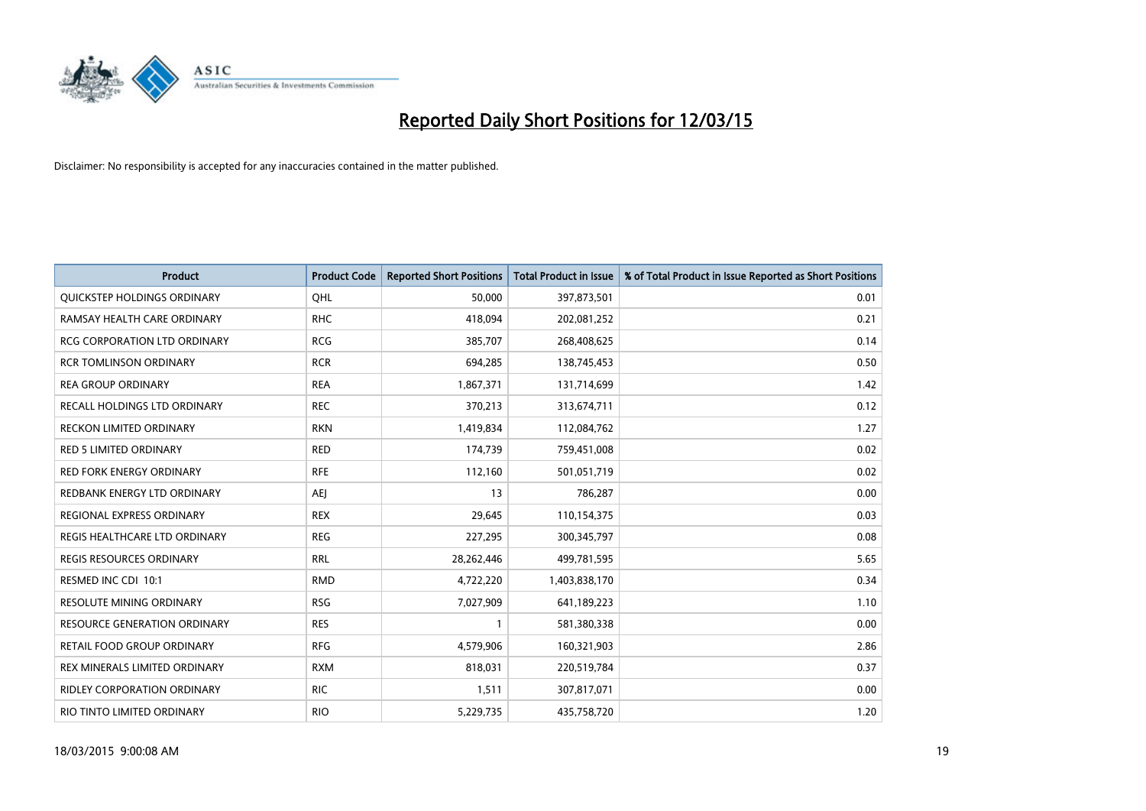

| <b>Product</b>                      | <b>Product Code</b> | <b>Reported Short Positions</b> | <b>Total Product in Issue</b> | % of Total Product in Issue Reported as Short Positions |
|-------------------------------------|---------------------|---------------------------------|-------------------------------|---------------------------------------------------------|
| QUICKSTEP HOLDINGS ORDINARY         | OHL                 | 50,000                          | 397,873,501                   | 0.01                                                    |
| RAMSAY HEALTH CARE ORDINARY         | <b>RHC</b>          | 418,094                         | 202,081,252                   | 0.21                                                    |
| <b>RCG CORPORATION LTD ORDINARY</b> | <b>RCG</b>          | 385,707                         | 268,408,625                   | 0.14                                                    |
| <b>RCR TOMLINSON ORDINARY</b>       | <b>RCR</b>          | 694,285                         | 138,745,453                   | 0.50                                                    |
| <b>REA GROUP ORDINARY</b>           | <b>REA</b>          | 1,867,371                       | 131,714,699                   | 1.42                                                    |
| RECALL HOLDINGS LTD ORDINARY        | <b>REC</b>          | 370,213                         | 313,674,711                   | 0.12                                                    |
| <b>RECKON LIMITED ORDINARY</b>      | <b>RKN</b>          | 1,419,834                       | 112,084,762                   | 1.27                                                    |
| RED 5 LIMITED ORDINARY              | <b>RED</b>          | 174,739                         | 759,451,008                   | 0.02                                                    |
| <b>RED FORK ENERGY ORDINARY</b>     | <b>RFE</b>          | 112,160                         | 501,051,719                   | 0.02                                                    |
| REDBANK ENERGY LTD ORDINARY         | AEJ                 | 13                              | 786,287                       | 0.00                                                    |
| REGIONAL EXPRESS ORDINARY           | <b>REX</b>          | 29,645                          | 110,154,375                   | 0.03                                                    |
| REGIS HEALTHCARE LTD ORDINARY       | <b>REG</b>          | 227,295                         | 300, 345, 797                 | 0.08                                                    |
| REGIS RESOURCES ORDINARY            | <b>RRL</b>          | 28,262,446                      | 499,781,595                   | 5.65                                                    |
| RESMED INC CDI 10:1                 | <b>RMD</b>          | 4,722,220                       | 1,403,838,170                 | 0.34                                                    |
| <b>RESOLUTE MINING ORDINARY</b>     | <b>RSG</b>          | 7,027,909                       | 641,189,223                   | 1.10                                                    |
| <b>RESOURCE GENERATION ORDINARY</b> | <b>RES</b>          |                                 | 581,380,338                   | 0.00                                                    |
| RETAIL FOOD GROUP ORDINARY          | <b>RFG</b>          | 4,579,906                       | 160,321,903                   | 2.86                                                    |
| REX MINERALS LIMITED ORDINARY       | <b>RXM</b>          | 818,031                         | 220,519,784                   | 0.37                                                    |
| <b>RIDLEY CORPORATION ORDINARY</b>  | <b>RIC</b>          | 1,511                           | 307,817,071                   | 0.00                                                    |
| RIO TINTO LIMITED ORDINARY          | <b>RIO</b>          | 5,229,735                       | 435,758,720                   | 1.20                                                    |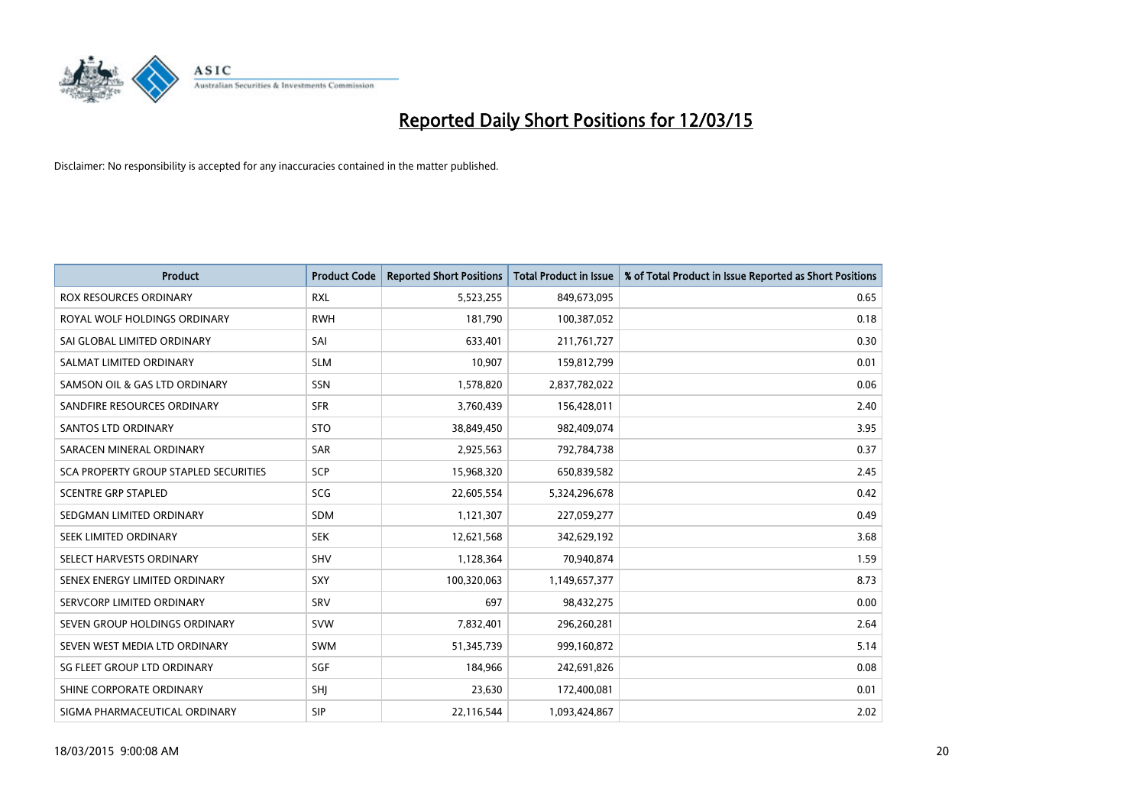

| <b>Product</b>                               | <b>Product Code</b> | <b>Reported Short Positions</b> | <b>Total Product in Issue</b> | % of Total Product in Issue Reported as Short Positions |
|----------------------------------------------|---------------------|---------------------------------|-------------------------------|---------------------------------------------------------|
| <b>ROX RESOURCES ORDINARY</b>                | <b>RXL</b>          | 5,523,255                       | 849,673,095                   | 0.65                                                    |
| ROYAL WOLF HOLDINGS ORDINARY                 | <b>RWH</b>          | 181,790                         | 100,387,052                   | 0.18                                                    |
| SAI GLOBAL LIMITED ORDINARY                  | SAI                 | 633,401                         | 211,761,727                   | 0.30                                                    |
| SALMAT LIMITED ORDINARY                      | <b>SLM</b>          | 10,907                          | 159,812,799                   | 0.01                                                    |
| SAMSON OIL & GAS LTD ORDINARY                | SSN                 | 1,578,820                       | 2,837,782,022                 | 0.06                                                    |
| SANDFIRE RESOURCES ORDINARY                  | <b>SFR</b>          | 3,760,439                       | 156,428,011                   | 2.40                                                    |
| <b>SANTOS LTD ORDINARY</b>                   | <b>STO</b>          | 38,849,450                      | 982,409,074                   | 3.95                                                    |
| SARACEN MINERAL ORDINARY                     | SAR                 | 2,925,563                       | 792,784,738                   | 0.37                                                    |
| <b>SCA PROPERTY GROUP STAPLED SECURITIES</b> | <b>SCP</b>          | 15,968,320                      | 650,839,582                   | 2.45                                                    |
| <b>SCENTRE GRP STAPLED</b>                   | SCG                 | 22,605,554                      | 5,324,296,678                 | 0.42                                                    |
| SEDGMAN LIMITED ORDINARY                     | <b>SDM</b>          | 1,121,307                       | 227,059,277                   | 0.49                                                    |
| <b>SEEK LIMITED ORDINARY</b>                 | <b>SEK</b>          | 12,621,568                      | 342,629,192                   | 3.68                                                    |
| SELECT HARVESTS ORDINARY                     | SHV                 | 1,128,364                       | 70,940,874                    | 1.59                                                    |
| SENEX ENERGY LIMITED ORDINARY                | <b>SXY</b>          | 100,320,063                     | 1,149,657,377                 | 8.73                                                    |
| SERVCORP LIMITED ORDINARY                    | SRV                 | 697                             | 98,432,275                    | 0.00                                                    |
| SEVEN GROUP HOLDINGS ORDINARY                | <b>SVW</b>          | 7,832,401                       | 296,260,281                   | 2.64                                                    |
| SEVEN WEST MEDIA LTD ORDINARY                | SWM                 | 51,345,739                      | 999,160,872                   | 5.14                                                    |
| SG FLEET GROUP LTD ORDINARY                  | SGF                 | 184,966                         | 242,691,826                   | 0.08                                                    |
| SHINE CORPORATE ORDINARY                     | SHJ                 | 23,630                          | 172,400,081                   | 0.01                                                    |
| SIGMA PHARMACEUTICAL ORDINARY                | <b>SIP</b>          | 22,116,544                      | 1,093,424,867                 | 2.02                                                    |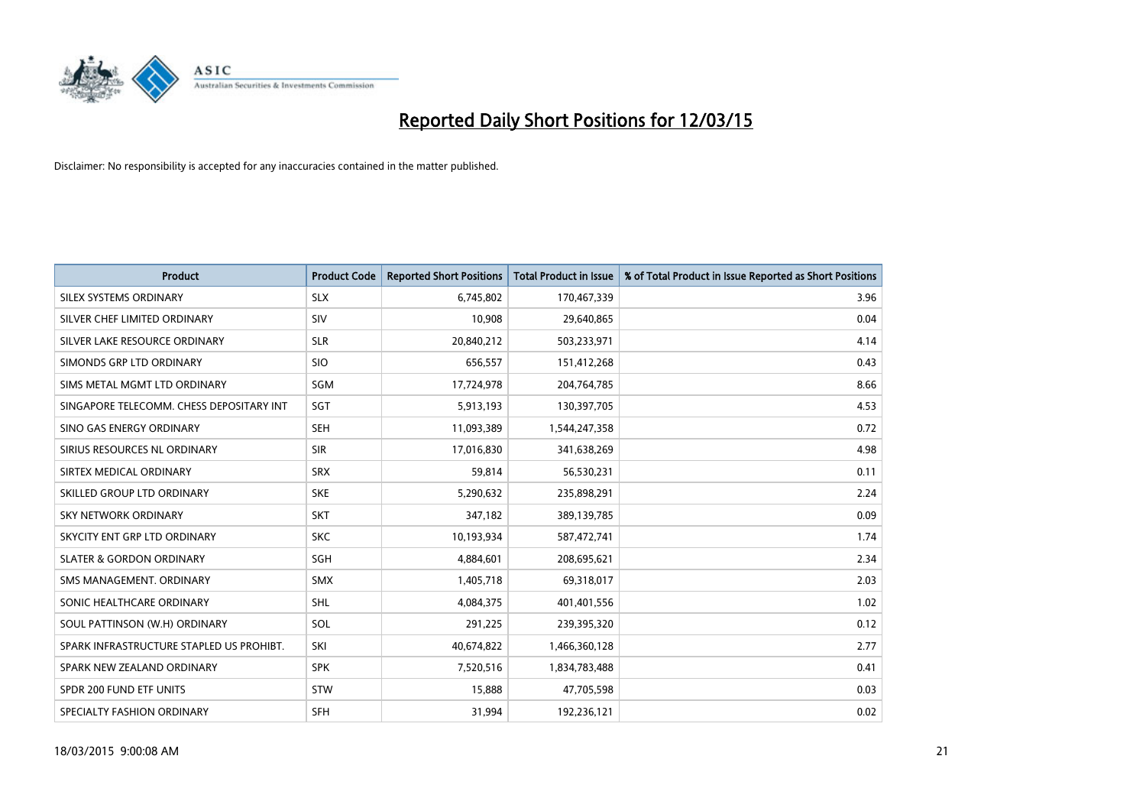

| <b>Product</b>                           | <b>Product Code</b> | <b>Reported Short Positions</b> | <b>Total Product in Issue</b> | % of Total Product in Issue Reported as Short Positions |
|------------------------------------------|---------------------|---------------------------------|-------------------------------|---------------------------------------------------------|
| SILEX SYSTEMS ORDINARY                   | <b>SLX</b>          | 6,745,802                       | 170,467,339                   | 3.96                                                    |
| SILVER CHEF LIMITED ORDINARY             | <b>SIV</b>          | 10,908                          | 29,640,865                    | 0.04                                                    |
| SILVER LAKE RESOURCE ORDINARY            | <b>SLR</b>          | 20,840,212                      | 503,233,971                   | 4.14                                                    |
| SIMONDS GRP LTD ORDINARY                 | <b>SIO</b>          | 656,557                         | 151,412,268                   | 0.43                                                    |
| SIMS METAL MGMT LTD ORDINARY             | SGM                 | 17,724,978                      | 204,764,785                   | 8.66                                                    |
| SINGAPORE TELECOMM. CHESS DEPOSITARY INT | SGT                 | 5,913,193                       | 130,397,705                   | 4.53                                                    |
| SINO GAS ENERGY ORDINARY                 | <b>SEH</b>          | 11,093,389                      | 1,544,247,358                 | 0.72                                                    |
| SIRIUS RESOURCES NL ORDINARY             | <b>SIR</b>          | 17,016,830                      | 341,638,269                   | 4.98                                                    |
| SIRTEX MEDICAL ORDINARY                  | <b>SRX</b>          | 59,814                          | 56,530,231                    | 0.11                                                    |
| SKILLED GROUP LTD ORDINARY               | <b>SKE</b>          | 5,290,632                       | 235,898,291                   | 2.24                                                    |
| SKY NETWORK ORDINARY                     | <b>SKT</b>          | 347,182                         | 389,139,785                   | 0.09                                                    |
| SKYCITY ENT GRP LTD ORDINARY             | <b>SKC</b>          | 10,193,934                      | 587,472,741                   | 1.74                                                    |
| <b>SLATER &amp; GORDON ORDINARY</b>      | SGH                 | 4,884,601                       | 208,695,621                   | 2.34                                                    |
| SMS MANAGEMENT, ORDINARY                 | <b>SMX</b>          | 1,405,718                       | 69,318,017                    | 2.03                                                    |
| SONIC HEALTHCARE ORDINARY                | <b>SHL</b>          | 4,084,375                       | 401,401,556                   | 1.02                                                    |
| SOUL PATTINSON (W.H) ORDINARY            | SOL                 | 291,225                         | 239,395,320                   | 0.12                                                    |
| SPARK INFRASTRUCTURE STAPLED US PROHIBT. | SKI                 | 40,674,822                      | 1,466,360,128                 | 2.77                                                    |
| SPARK NEW ZEALAND ORDINARY               | <b>SPK</b>          | 7,520,516                       | 1,834,783,488                 | 0.41                                                    |
| SPDR 200 FUND ETF UNITS                  | <b>STW</b>          | 15,888                          | 47,705,598                    | 0.03                                                    |
| SPECIALTY FASHION ORDINARY               | <b>SFH</b>          | 31,994                          | 192,236,121                   | 0.02                                                    |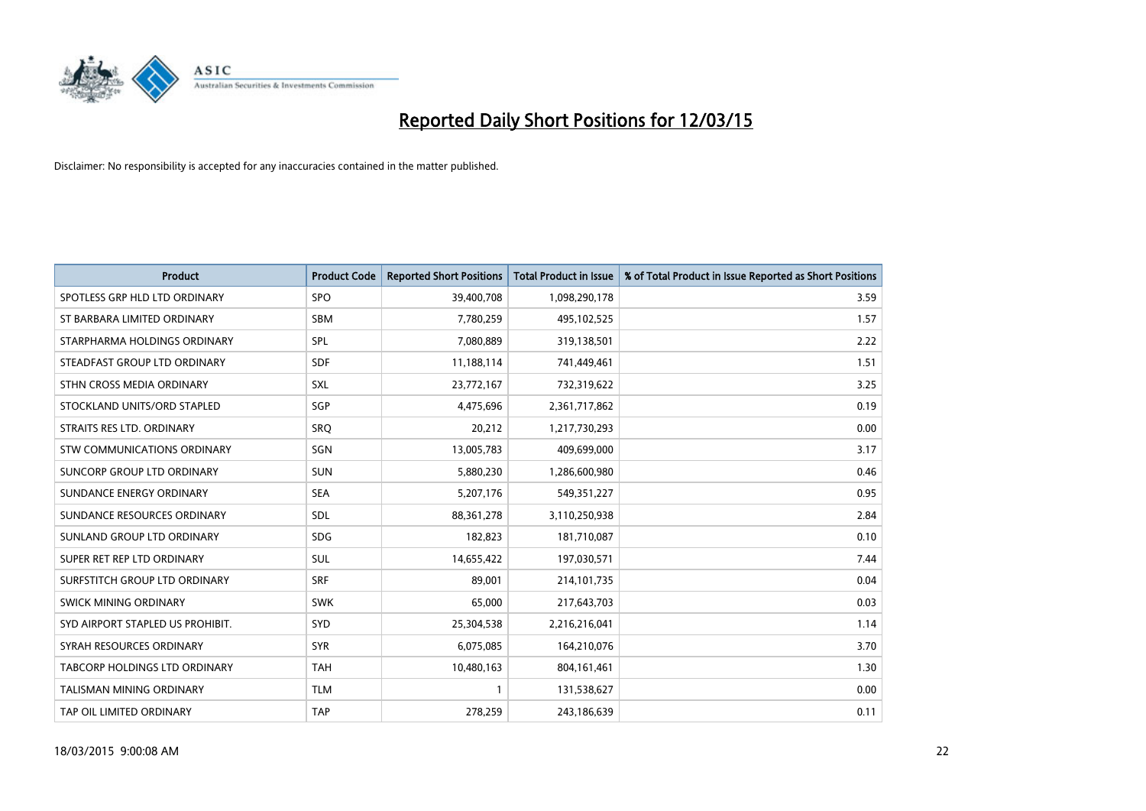

| <b>Product</b>                   | <b>Product Code</b> | <b>Reported Short Positions</b> | <b>Total Product in Issue</b> | % of Total Product in Issue Reported as Short Positions |
|----------------------------------|---------------------|---------------------------------|-------------------------------|---------------------------------------------------------|
| SPOTLESS GRP HLD LTD ORDINARY    | <b>SPO</b>          | 39,400,708                      | 1,098,290,178                 | 3.59                                                    |
| ST BARBARA LIMITED ORDINARY      | SBM                 | 7,780,259                       | 495,102,525                   | 1.57                                                    |
| STARPHARMA HOLDINGS ORDINARY     | <b>SPL</b>          | 7,080,889                       | 319,138,501                   | 2.22                                                    |
| STEADFAST GROUP LTD ORDINARY     | <b>SDF</b>          | 11,188,114                      | 741,449,461                   | 1.51                                                    |
| STHN CROSS MEDIA ORDINARY        | SXL                 | 23,772,167                      | 732,319,622                   | 3.25                                                    |
| STOCKLAND UNITS/ORD STAPLED      | SGP                 | 4,475,696                       | 2,361,717,862                 | 0.19                                                    |
| STRAITS RES LTD. ORDINARY        | <b>SRQ</b>          | 20,212                          | 1,217,730,293                 | 0.00                                                    |
| STW COMMUNICATIONS ORDINARY      | SGN                 | 13,005,783                      | 409,699,000                   | 3.17                                                    |
| SUNCORP GROUP LTD ORDINARY       | <b>SUN</b>          | 5,880,230                       | 1,286,600,980                 | 0.46                                                    |
| SUNDANCE ENERGY ORDINARY         | <b>SEA</b>          | 5,207,176                       | 549, 351, 227                 | 0.95                                                    |
| SUNDANCE RESOURCES ORDINARY      | <b>SDL</b>          | 88, 361, 278                    | 3,110,250,938                 | 2.84                                                    |
| SUNLAND GROUP LTD ORDINARY       | <b>SDG</b>          | 182,823                         | 181,710,087                   | 0.10                                                    |
| SUPER RET REP LTD ORDINARY       | SUL                 | 14,655,422                      | 197,030,571                   | 7.44                                                    |
| SURFSTITCH GROUP LTD ORDINARY    | <b>SRF</b>          | 89,001                          | 214, 101, 735                 | 0.04                                                    |
| SWICK MINING ORDINARY            | <b>SWK</b>          | 65,000                          | 217,643,703                   | 0.03                                                    |
| SYD AIRPORT STAPLED US PROHIBIT. | SYD                 | 25,304,538                      | 2,216,216,041                 | 1.14                                                    |
| SYRAH RESOURCES ORDINARY         | <b>SYR</b>          | 6,075,085                       | 164,210,076                   | 3.70                                                    |
| TABCORP HOLDINGS LTD ORDINARY    | <b>TAH</b>          | 10,480,163                      | 804, 161, 461                 | 1.30                                                    |
| TALISMAN MINING ORDINARY         | <b>TLM</b>          | $\mathbf{1}$                    | 131,538,627                   | 0.00                                                    |
| TAP OIL LIMITED ORDINARY         | <b>TAP</b>          | 278,259                         | 243,186,639                   | 0.11                                                    |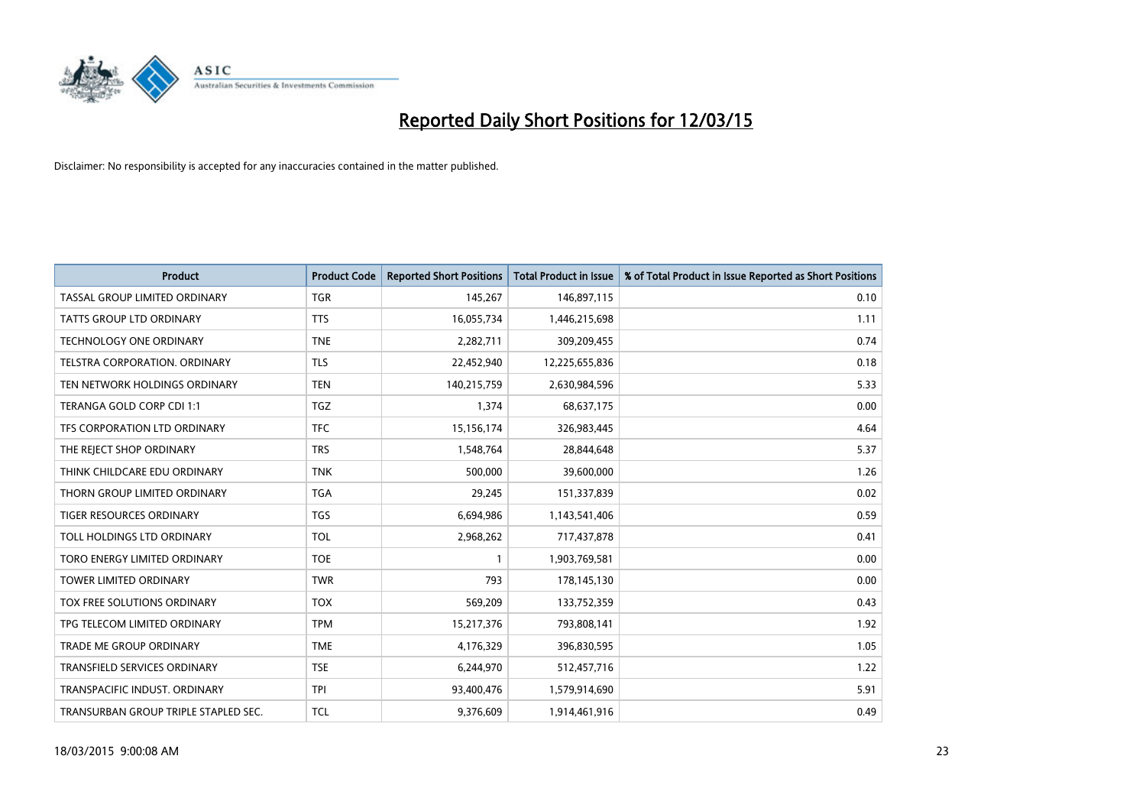

| <b>Product</b>                       | <b>Product Code</b> | <b>Reported Short Positions</b> | <b>Total Product in Issue</b> | % of Total Product in Issue Reported as Short Positions |
|--------------------------------------|---------------------|---------------------------------|-------------------------------|---------------------------------------------------------|
| TASSAL GROUP LIMITED ORDINARY        | <b>TGR</b>          | 145,267                         | 146,897,115                   | 0.10                                                    |
| TATTS GROUP LTD ORDINARY             | <b>TTS</b>          | 16,055,734                      | 1,446,215,698                 | 1.11                                                    |
| <b>TECHNOLOGY ONE ORDINARY</b>       | <b>TNE</b>          | 2,282,711                       | 309,209,455                   | 0.74                                                    |
| TELSTRA CORPORATION. ORDINARY        | <b>TLS</b>          | 22,452,940                      | 12,225,655,836                | 0.18                                                    |
| TEN NETWORK HOLDINGS ORDINARY        | <b>TEN</b>          | 140,215,759                     | 2,630,984,596                 | 5.33                                                    |
| TERANGA GOLD CORP CDI 1:1            | <b>TGZ</b>          | 1,374                           | 68,637,175                    | 0.00                                                    |
| TFS CORPORATION LTD ORDINARY         | <b>TFC</b>          | 15,156,174                      | 326,983,445                   | 4.64                                                    |
| THE REJECT SHOP ORDINARY             | <b>TRS</b>          | 1,548,764                       | 28,844,648                    | 5.37                                                    |
| THINK CHILDCARE EDU ORDINARY         | <b>TNK</b>          | 500,000                         | 39,600,000                    | 1.26                                                    |
| THORN GROUP LIMITED ORDINARY         | <b>TGA</b>          | 29,245                          | 151,337,839                   | 0.02                                                    |
| TIGER RESOURCES ORDINARY             | <b>TGS</b>          | 6,694,986                       | 1,143,541,406                 | 0.59                                                    |
| TOLL HOLDINGS LTD ORDINARY           | <b>TOL</b>          | 2,968,262                       | 717,437,878                   | 0.41                                                    |
| TORO ENERGY LIMITED ORDINARY         | <b>TOE</b>          | $\mathbf{1}$                    | 1,903,769,581                 | 0.00                                                    |
| <b>TOWER LIMITED ORDINARY</b>        | <b>TWR</b>          | 793                             | 178,145,130                   | 0.00                                                    |
| TOX FREE SOLUTIONS ORDINARY          | <b>TOX</b>          | 569,209                         | 133,752,359                   | 0.43                                                    |
| TPG TELECOM LIMITED ORDINARY         | <b>TPM</b>          | 15,217,376                      | 793,808,141                   | 1.92                                                    |
| TRADE ME GROUP ORDINARY              | <b>TME</b>          | 4,176,329                       | 396,830,595                   | 1.05                                                    |
| TRANSFIELD SERVICES ORDINARY         | <b>TSE</b>          | 6,244,970                       | 512,457,716                   | 1.22                                                    |
| TRANSPACIFIC INDUST, ORDINARY        | <b>TPI</b>          | 93,400,476                      | 1,579,914,690                 | 5.91                                                    |
| TRANSURBAN GROUP TRIPLE STAPLED SEC. | <b>TCL</b>          | 9,376,609                       | 1,914,461,916                 | 0.49                                                    |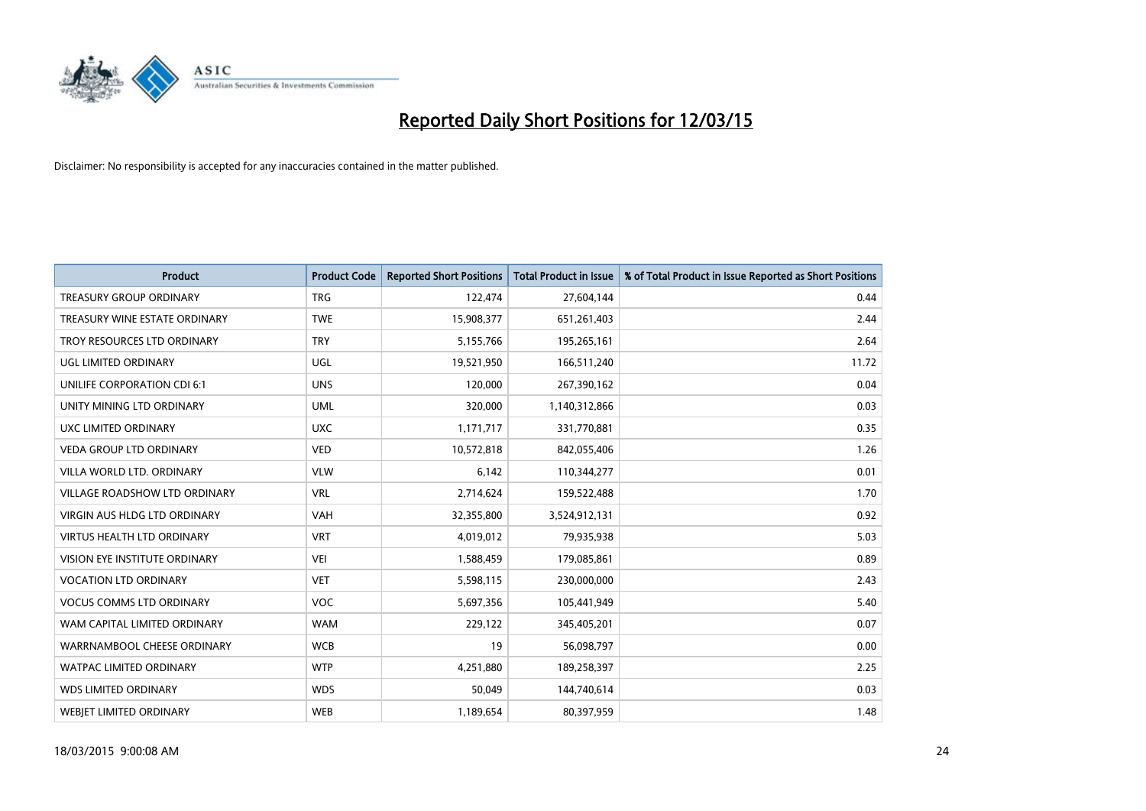

| <b>Product</b>                       | <b>Product Code</b> | <b>Reported Short Positions</b> | <b>Total Product in Issue</b> | % of Total Product in Issue Reported as Short Positions |
|--------------------------------------|---------------------|---------------------------------|-------------------------------|---------------------------------------------------------|
| <b>TREASURY GROUP ORDINARY</b>       | <b>TRG</b>          | 122,474                         | 27,604,144                    | 0.44                                                    |
| TREASURY WINE ESTATE ORDINARY        | <b>TWE</b>          | 15,908,377                      | 651,261,403                   | 2.44                                                    |
| TROY RESOURCES LTD ORDINARY          | <b>TRY</b>          | 5,155,766                       | 195,265,161                   | 2.64                                                    |
| UGL LIMITED ORDINARY                 | UGL                 | 19,521,950                      | 166,511,240                   | 11.72                                                   |
| UNILIFE CORPORATION CDI 6:1          | <b>UNS</b>          | 120,000                         | 267,390,162                   | 0.04                                                    |
| UNITY MINING LTD ORDINARY            | <b>UML</b>          | 320,000                         | 1,140,312,866                 | 0.03                                                    |
| UXC LIMITED ORDINARY                 | <b>UXC</b>          | 1,171,717                       | 331,770,881                   | 0.35                                                    |
| <b>VEDA GROUP LTD ORDINARY</b>       | <b>VED</b>          | 10,572,818                      | 842,055,406                   | 1.26                                                    |
| VILLA WORLD LTD, ORDINARY            | <b>VLW</b>          | 6,142                           | 110,344,277                   | 0.01                                                    |
| <b>VILLAGE ROADSHOW LTD ORDINARY</b> | <b>VRL</b>          | 2,714,624                       | 159,522,488                   | 1.70                                                    |
| VIRGIN AUS HLDG LTD ORDINARY         | <b>VAH</b>          | 32,355,800                      | 3,524,912,131                 | 0.92                                                    |
| <b>VIRTUS HEALTH LTD ORDINARY</b>    | <b>VRT</b>          | 4,019,012                       | 79,935,938                    | 5.03                                                    |
| VISION EYE INSTITUTE ORDINARY        | <b>VEI</b>          | 1,588,459                       | 179,085,861                   | 0.89                                                    |
| <b>VOCATION LTD ORDINARY</b>         | <b>VET</b>          | 5,598,115                       | 230,000,000                   | 2.43                                                    |
| <b>VOCUS COMMS LTD ORDINARY</b>      | <b>VOC</b>          | 5,697,356                       | 105,441,949                   | 5.40                                                    |
| WAM CAPITAL LIMITED ORDINARY         | <b>WAM</b>          | 229,122                         | 345,405,201                   | 0.07                                                    |
| WARRNAMBOOL CHEESE ORDINARY          | <b>WCB</b>          | 19                              | 56,098,797                    | 0.00                                                    |
| WATPAC LIMITED ORDINARY              | <b>WTP</b>          | 4,251,880                       | 189,258,397                   | 2.25                                                    |
| <b>WDS LIMITED ORDINARY</b>          | <b>WDS</b>          | 50,049                          | 144,740,614                   | 0.03                                                    |
| <b>WEBJET LIMITED ORDINARY</b>       | <b>WEB</b>          | 1,189,654                       | 80,397,959                    | 1.48                                                    |